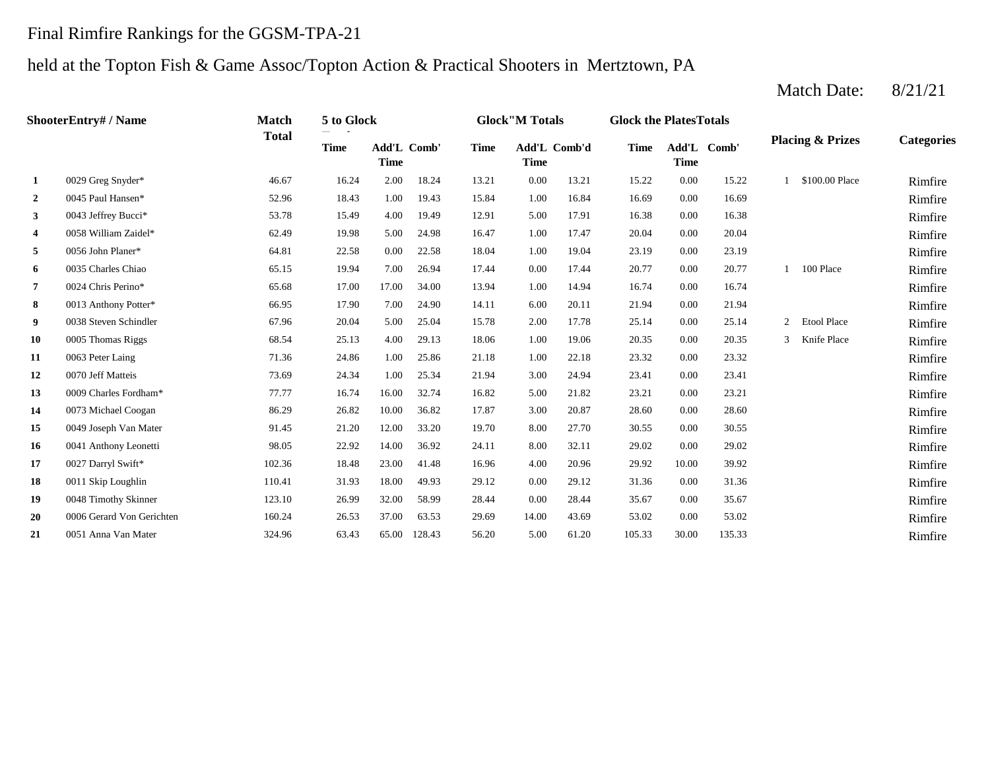#### Final Rimfire Rankings for the GGSM-TPA-21

#### held at the Topton Fish & Game Assoc/Topton Action & Practical Shooters in Mertztown, PA

**2** 1.00 16.69 Rimfire **3** 5.0043 Jeffrey Bucci<sup>\*</sup> 53.78 53.78 5.49 4.00 19.49 12.91 5.00 17.91 16.38 0.00 16.38 51.78 **Rimfire 4** 0058 William Zaidel\* 62.49 19.98 5.00 24.98 16.47 1.00 17.47 20.04 0.00 20.04 1.00 20.04 Rimfire **5** 0056 John Planer\* **1.00 2.58** 1.00 1.00 1.00 1.00 1.00 19.04 23.19 23.19 23.19 23.19 23.19 **Rimfire 6** 0035 Charles Chiao **65.15** 19.94 7.00 26.94 17.44 0.00 17.44 20.77 0.00 20.77 1 100 Place Rimfire **7** 1.00 16.74 Rimfire **8** 66.95 17.90 7.00 24.90 14.11 6.00 20.11 21.94 0.00 21.94 21.94 **Rimfire 9** 0038 Steven Schindler 67.96 20.04 5.00 25.04 15.78 2.00 17.78 25.14 0.00 25.14 2 Etool Place Rimfire 10 0005 Thomas Riggs 68.54 68.54 25.13 4.00 29.13 18.06 1.00 19.06 20.35 0.00 20.35 3 Knife Place Rimfire **11** 0063 Peter Laing **11.100 22.86** 1.00 25.86 21.18 1.00 22.18 23.32 0.00 23.32 23.32 **Rimfire 12** 0070 Jeff Matteis **12 12 12 13.69 13.69 24.34 1.00 25.34 21.94 3.00 24.94 23.41 0.00 23.41 Rimfire 13** 5.00 23.21 Rimfire **14** 0073 Michael Coogan **14** 86.29 26.82 10.00 36.82 17.87 3.00 20.87 28.60 0.00 28.60 **Rimfire 15** 8.00 30.55 Rimfire **16** 8.00 **11** Anthony Leonetti **16** 88.05 8.05 22.92 14.00 36.92 24.11 8.00 32.11 29.02 0.00 29.02 29.02 **Rimfire 17** 0027 Darryl Swift\* **102.36** 18.48 23.00 41.48 16.96 4.00 20.96 29.92 10.00 39.92 **Rimfire 18** 0011 Skip Loughlin **110.41** 110.41 31.93 18.00 49.93 29.12 0.00 29.12 31.36 0.00 31.36 1.36 **19** 0048 Timothy Skinner **123.10** 26.99 32.00 58.99 28.44 0.00 28.44 35.67 0.00 35.67 **Rimfire 20** 0006 Gerard Von Gerichten 160.24 26.53 37.00 63.53 29.69 14.00 43.69 53.02 0.00 53.02 **Rimfire 21** 0051 Anna Van Mater **21** 324.96 **5.00 128.43** 56.20 5.00 61.20 105.33 30.00 135.33 **Rimfire** 0.00 53.02 0051 Anna Van Mater 324.96 63.43 65.00 128.43 56.20 61.20 0.00 35.67 0006 Gerard Von Gerichten 160.24 26.53 37.00 63.53 29.69 43.69 0.00 31.36 0048 Timothy Skinner 123.10 26.99 32.00 58.99 28.44 0.00 28.44 10.00 39.92 0011 Skip Loughlin 110.41 31.93 18.00 49.93 29.12 0.00 29.12 0.00 29.02 0027 Darryl Swift\* 102.36 18.48 23.00 41.48 16.96 4.00 20.96 0.00 30.55 0041 Anthony Leonetti 88.00 and 98.05 22.92 14.00 36.92 24.11 8.00 32.11 0.00 28.60 0049 Joseph Van Mater **91.45** 21.20 12.00 33.20 19.70 8.00 27.70 0.00 23.21 0073 Michael Coogan 86.29 26.82 10.00 36.82 17.87 3.00 20.87 0.00 23.41 0009 Charles Fordham\* 77.77 16.74 16.00 32.74 16.82 5.00 21.82 0.00 23.32 0070 Jeff Matteis 21.94 22.34 1.00 25.34 21.94 2.1.94 2.1.94 2.1.94 2.1.94 2.1.94 2.1.94 2.1.94 2.1.94 2.1.94 2.1.94 2.1.94 2.1.94 2.1.94 2.1.94 2.1.94 2.1.94 2.1.94 2.1.94 2.1.94 2.1.94 2.1.94 2.1.94 2.1.94 2.1.94 2.1.94 3 Knife Place 0063 Peter Laing 22.18 21.18 1.00 22.18 21.18 1.00 22.18 0005 Thomas Riggs 68.54 68.54 25.13 4.00 29.13 18.06 1.00 19.06 20.35 0.00 20.35 15.78 2.00 17.78 25.14 0.00 25.14 2 Etool Place 14.11 6.00 20.11 21.94 0.00 21.94 0038 Steven Schindler 67.96 20.04 5.00 25.04 13.94 14.94 0.00 16.74 0013 Anthony Potter\* 66.95 17.90 7.00 24.90 0.00 20.77 1 100 Place 0024 Chris Perino\* 65.68 17.00 17.00 34.00 0.00 23.19 0035 Charles Chiao 65.15 19.94 7.00 26.94 17.44 0.00 17.44 0.00 20.04 0056 John Planer\* 64.81 22.58 0.00 22.58 18.04 1.00 19.04 0.00 16.38 0058 William Zaidel\* 62.49 19.98 5.00 24.98 16.47 1.00 17.47 0.00 16.69 0043 Jeffrey Bucci<sup>\*</sup> 53.78 15.49 4.00 19.49 12.91 5.00 17.91 1 \$100.00 Place Rimfire 0045 Paul Hansen\* 52.96 18.43 1.00 19.43 15.84 1.00 16.84 **1** 0029 Greg Snyder\* 46.67 16.24 2.00 18.24 13.21 0.00 13.21 15.22 0.00 15.22 **Categories Time Add'L Time** Add'L Comb' **Time Add'L Comb'd Time Add'L Time Time** Add'L Comb' **ShooterEntry# / Name Match Total 5 to Glock Glock"M Totals Glock the PlatesTotals Placing & Prizes**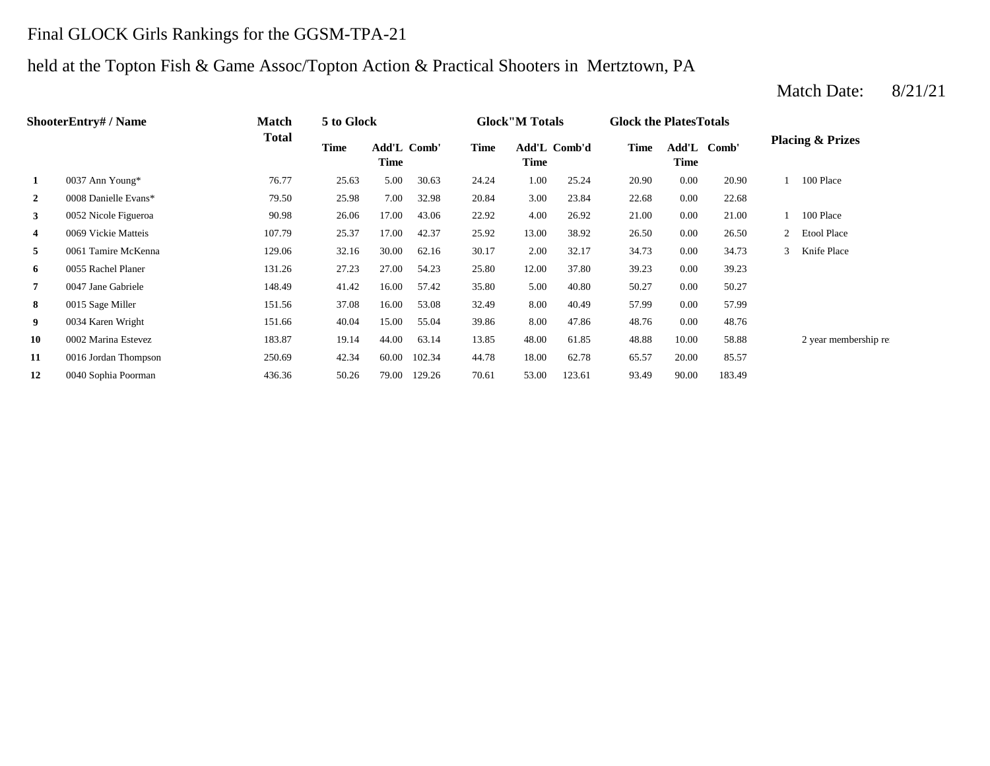#### Final GLOCK Girls Rankings for the GGSM-TPA-21

### held at the Topton Fish & Game Assoc/Topton Action & Practical Shooters in Mertztown, PA

#### **2** 3.00 22.68 0008 Danielle Evans\* 79.50 25.98 7.00 32.98 20.84 23.84 **3** 4.00 26.92 11.00 152 Nicole Figueroa **90.98** 26.06 17.00 43.06 22.92 4.00 26.92 21.00 0.00 **4** 0069 Vickie Matteis **107.79** 25.37 17.00 42.37 25.92 13.00 38.92 26.50 **5** 2.00 **1** 2.00 **2.17** 2.00 **32.17** 34.73 **6** 12.00 37.80 **12.00** 37.80 **131.26** 27.23 27.00 54.23 25.80 12.00 37.80 39.23 **7** 5.00 **40.80** 50.27 **148.49** 41.42 16.00 **57.42** 35.80 5.00 40.80 50.27 **8** 8.00 40.49 57.99 **8.00 15 Sage Miller** 151.56 151.56 37.08 16.00 53.08 32.49 8.00 40.49 57.99 **9** 8.00 47.86 48.76 8.00 47.86 48.76 8.00 47.86 **40.04** 15.00 55.04 59.86 8.00 47.86 48.76 8.00 **10** 0002 Marina Estevez **183.87** 19.14 44.00 63.14 13.85 48.00 61.85 48.88 10.00 58.88 **11** 0016 Jordan Thompson 250.69 42.34 60.00 102.34 44.78 18.00 62.78 65.57 20.00 85.57 **12** 0040 Sophia Poorman 436.36 50.26 79.00 129.26 70.61 53.00 123.61 93.49 90.00 183.49 2 year membership re 48.76 0.00 57.99 40.80 50.27 0.00 50.27 25.80 12.00 37.80 39.23 0.00 39.23 32.17 34.73 0.00 34.73 3 Knife Place 0.00 26.50 2 Etool Place 21.00 1 100 Place 0.00 22.68 20.90 1 100 Place 30.63 24.24 1.00 25.24 20.90 0.00 **Add'L Comb'd Time Add'L Time Time** Add'L Comb' **1** 0037 Ann Young\* 76.77 25.63 5.00 **ShooterEntry# / Name Match Total 5 to Glock Time Glock"M Totals Glock the PlatesTotals Placing & Prizes Time Add'L Time** Add'L Comb' **Time**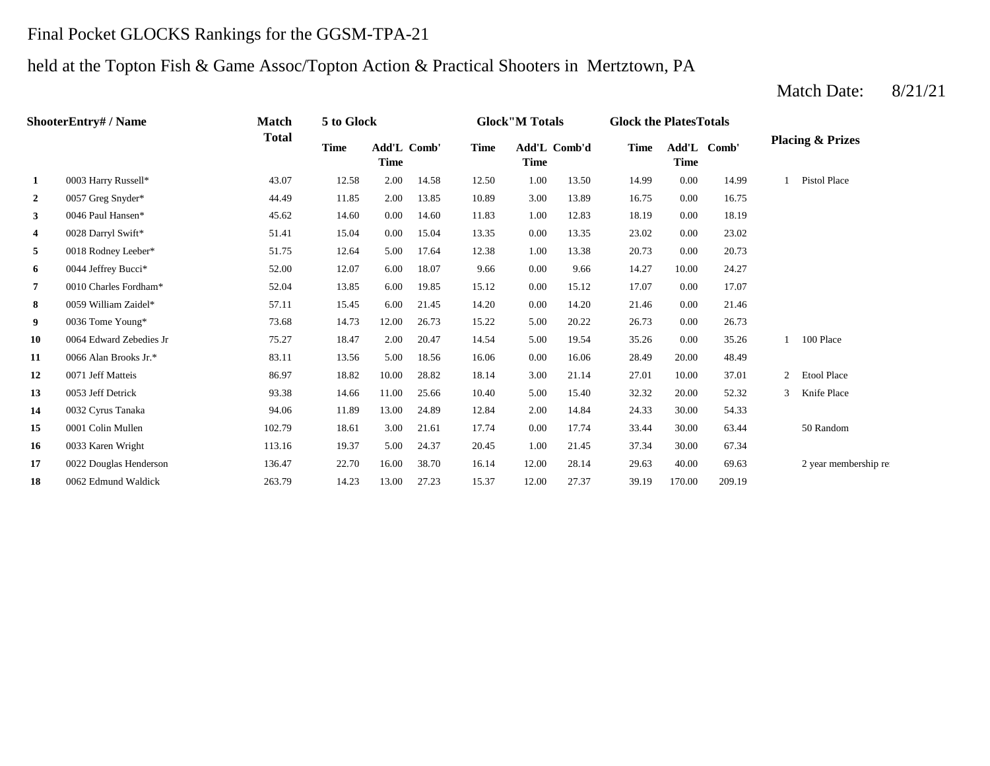## Final Pocket GLOCKS Rankings for the GGSM-TPA-21

## held at the Topton Fish & Game Assoc/Topton Action & Practical Shooters in Mertztown, PA

|                  | <b>ShooterEntry# / Name</b> | <b>Match</b> | 5 to Glock  |                     |       |             | <b>Glock</b> "M Totals      |       | <b>Glock the PlatesTotals</b> |                                          |        |                              |
|------------------|-----------------------------|--------------|-------------|---------------------|-------|-------------|-----------------------------|-------|-------------------------------|------------------------------------------|--------|------------------------------|
|                  |                             | <b>Total</b> | <b>Time</b> | Add'L Comb'<br>Time |       | <b>Time</b> | Add'L Comb'd<br><b>Time</b> |       | <b>Time</b>                   | $\mathbf{Add}'\mathbf{L}$<br><b>Time</b> | Comb'  | <b>Placing &amp; Prizes</b>  |
| 1                | 0003 Harry Russell*         | 43.07        | 12.58       | 2.00                | 14.58 | 12.50       | 1.00                        | 13.50 | 14.99                         | 0.00                                     | 14.99  | <b>Pistol Place</b>          |
| $\boldsymbol{2}$ | 0057 Greg Snyder*           | 44.49        | 11.85       | 2.00                | 13.85 | 10.89       | 3.00                        | 13.89 | 16.75                         | 0.00                                     | 16.75  |                              |
| 3                | 0046 Paul Hansen*           | 45.62        | 14.60       | 0.00                | 14.60 | 11.83       | 1.00                        | 12.83 | 18.19                         | 0.00                                     | 18.19  |                              |
| 4                | 0028 Darryl Swift*          | 51.41        | 15.04       | 0.00                | 15.04 | 13.35       | 0.00                        | 13.35 | 23.02                         | 0.00                                     | 23.02  |                              |
| 5                | 0018 Rodney Leeber*         | 51.75        | 12.64       | 5.00                | 17.64 | 12.38       | 1.00                        | 13.38 | 20.73                         | 0.00                                     | 20.73  |                              |
| 6                | 0044 Jeffrey Bucci*         | 52.00        | 12.07       | 6.00                | 18.07 | 9.66        | 0.00                        | 9.66  | 14.27                         | 10.00                                    | 24.27  |                              |
| 7                | 0010 Charles Fordham*       | 52.04        | 13.85       | 6.00                | 19.85 | 15.12       | 0.00                        | 15.12 | 17.07                         | 0.00                                     | 17.07  |                              |
| 8                | 0059 William Zaidel*        | 57.11        | 15.45       | 6.00                | 21.45 | 14.20       | 0.00                        | 14.20 | 21.46                         | 0.00                                     | 21.46  |                              |
| 9                | 0036 Tome Young*            | 73.68        | 14.73       | 12.00               | 26.73 | 15.22       | 5.00                        | 20.22 | 26.73                         | 0.00                                     | 26.73  |                              |
| 10               | 0064 Edward Zebedies Jr     | 75.27        | 18.47       | 2.00                | 20.47 | 14.54       | 5.00                        | 19.54 | 35.26                         | 0.00                                     | 35.26  | 100 Place                    |
| 11               | 0066 Alan Brooks Jr.*       | 83.11        | 13.56       | 5.00                | 18.56 | 16.06       | 0.00                        | 16.06 | 28.49                         | 20.00                                    | 48.49  |                              |
| 12               | 0071 Jeff Matteis           | 86.97        | 18.82       | 10.00               | 28.82 | 18.14       | 3.00                        | 21.14 | 27.01                         | 10.00                                    | 37.01  | <b>Etool Place</b><br>2      |
| 13               | 0053 Jeff Detrick           | 93.38        | 14.66       | 11.00               | 25.66 | 10.40       | 5.00                        | 15.40 | 32.32                         | 20.00                                    | 52.32  | $\mathcal{R}$<br>Knife Place |
| 14               | 0032 Cyrus Tanaka           | 94.06        | 11.89       | 13.00               | 24.89 | 12.84       | 2.00                        | 14.84 | 24.33                         | 30.00                                    | 54.33  |                              |
| 15               | 0001 Colin Mullen           | 102.79       | 18.61       | 3.00                | 21.61 | 17.74       | 0.00                        | 17.74 | 33.44                         | 30.00                                    | 63.44  | 50 Random                    |
| 16               | 0033 Karen Wright           | 113.16       | 19.37       | 5.00                | 24.37 | 20.45       | 1.00                        | 21.45 | 37.34                         | 30.00                                    | 67.34  |                              |
| 17               | 0022 Douglas Henderson      | 136.47       | 22.70       | 16.00               | 38.70 | 16.14       | 12.00                       | 28.14 | 29.63                         | 40.00                                    | 69.63  | 2 year membership re         |
| 18               | 0062 Edmund Waldick         | 263.79       | 14.23       | 13.00               | 27.23 | 15.37       | 12.00                       | 27.37 | 39.19                         | 170.00                                   | 209.19 |                              |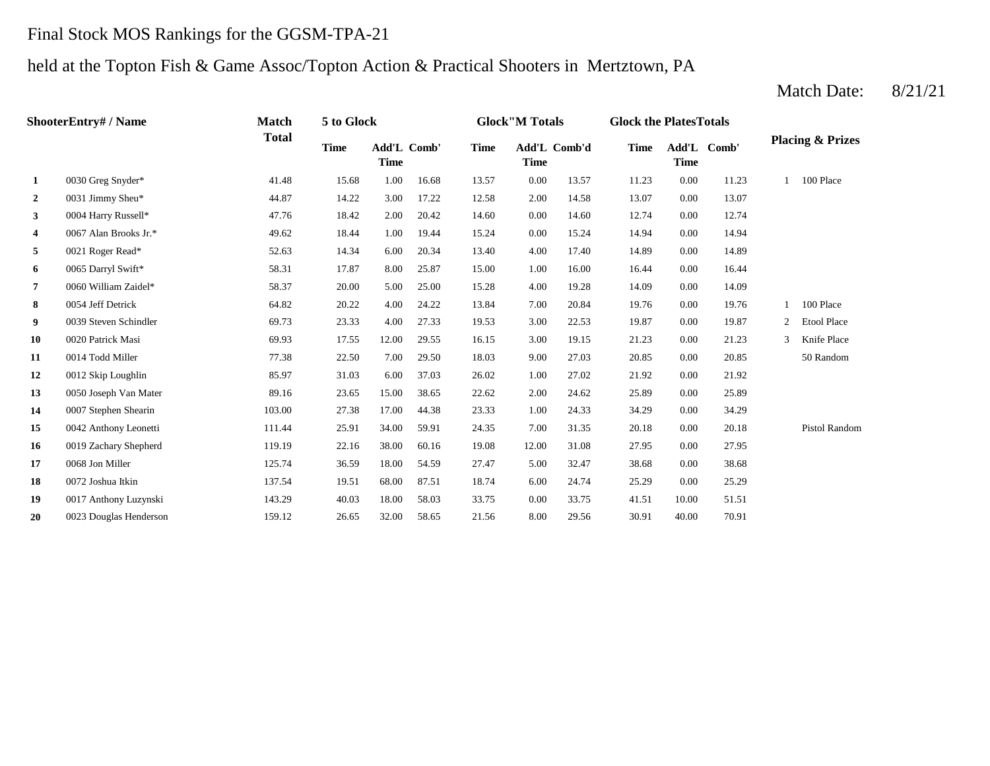### Final Stock MOS Rankings for the GGSM-TPA-21

## held at the Topton Fish & Game Assoc/Topton Action & Practical Shooters in Mertztown, PA

|              | ShooterEntry# / Name   | Match        | 5 to Glock  |                            |       |             | <b>Glock</b> "M Totals |              | <b>Glock the PlatesTotals</b> |                            |       |                |                             |
|--------------|------------------------|--------------|-------------|----------------------------|-------|-------------|------------------------|--------------|-------------------------------|----------------------------|-------|----------------|-----------------------------|
|              |                        | <b>Total</b> | <b>Time</b> | Add'L Comb'<br><b>Time</b> |       | <b>Time</b> | <b>Time</b>            | Add'L Comb'd | <b>Time</b>                   | Add'L Comb'<br><b>Time</b> |       |                | <b>Placing &amp; Prizes</b> |
| 1            | 0030 Greg Snyder*      | 41.48        | 15.68       | 1.00                       | 16.68 | 13.57       | 0.00                   | 13.57        | 11.23                         | 0.00                       | 11.23 |                | 100 Place                   |
| $\mathbf{2}$ | 0031 Jimmy Sheu*       | 44.87        | 14.22       | 3.00                       | 17.22 | 12.58       | 2.00                   | 14.58        | 13.07                         | 0.00                       | 13.07 |                |                             |
| 3            | 0004 Harry Russell*    | 47.76        | 18.42       | 2.00                       | 20.42 | 14.60       | 0.00                   | 14.60        | 12.74                         | 0.00                       | 12.74 |                |                             |
| 4            | 0067 Alan Brooks Jr.*  | 49.62        | 18.44       | 1.00                       | 19.44 | 15.24       | 0.00                   | 15.24        | 14.94                         | 0.00                       | 14.94 |                |                             |
| 5            | 0021 Roger Read*       | 52.63        | 14.34       | 6.00                       | 20.34 | 13.40       | 4.00                   | 17.40        | 14.89                         | 0.00                       | 14.89 |                |                             |
| 6            | 0065 Darryl Swift*     | 58.31        | 17.87       | 8.00                       | 25.87 | 15.00       | 1.00                   | 16.00        | 16.44                         | 0.00                       | 16.44 |                |                             |
| 7            | 0060 William Zaidel*   | 58.37        | 20.00       | 5.00                       | 25.00 | 15.28       | 4.00                   | 19.28        | 14.09                         | 0.00                       | 14.09 |                |                             |
| 8            | 0054 Jeff Detrick      | 64.82        | 20.22       | 4.00                       | 24.22 | 13.84       | 7.00                   | 20.84        | 19.76                         | 0.00                       | 19.76 |                | 100 Place                   |
| 9            | 0039 Steven Schindler  | 69.73        | 23.33       | 4.00                       | 27.33 | 19.53       | 3.00                   | 22.53        | 19.87                         | 0.00                       | 19.87 | $\overline{2}$ | <b>Etool Place</b>          |
| 10           | 0020 Patrick Masi      | 69.93        | 17.55       | 12.00                      | 29.55 | 16.15       | 3.00                   | 19.15        | 21.23                         | 0.00                       | 21.23 | 3              | Knife Place                 |
| 11           | 0014 Todd Miller       | 77.38        | 22.50       | 7.00                       | 29.50 | 18.03       | 9.00                   | 27.03        | 20.85                         | 0.00                       | 20.85 |                | 50 Random                   |
| 12           | 0012 Skip Loughlin     | 85.97        | 31.03       | 6.00                       | 37.03 | 26.02       | 1.00                   | 27.02        | 21.92                         | 0.00                       | 21.92 |                |                             |
| 13           | 0050 Joseph Van Mater  | 89.16        | 23.65       | 15.00                      | 38.65 | 22.62       | 2.00                   | 24.62        | 25.89                         | 0.00                       | 25.89 |                |                             |
| 14           | 0007 Stephen Shearin   | 103.00       | 27.38       | 17.00                      | 44.38 | 23.33       | 1.00                   | 24.33        | 34.29                         | 0.00                       | 34.29 |                |                             |
| 15           | 0042 Anthony Leonetti  | 111.44       | 25.91       | 34.00                      | 59.91 | 24.35       | 7.00                   | 31.35        | 20.18                         | 0.00                       | 20.18 |                | Pistol Random               |
| 16           | 0019 Zachary Shepherd  | 119.19       | 22.16       | 38.00                      | 60.16 | 19.08       | 12.00                  | 31.08        | 27.95                         | 0.00                       | 27.95 |                |                             |
| 17           | 0068 Jon Miller        | 125.74       | 36.59       | 18.00                      | 54.59 | 27.47       | 5.00                   | 32.47        | 38.68                         | 0.00                       | 38.68 |                |                             |
| 18           | 0072 Joshua Itkin      | 137.54       | 19.51       | 68.00                      | 87.51 | 18.74       | 6.00                   | 24.74        | 25.29                         | 0.00                       | 25.29 |                |                             |
| 19           | 0017 Anthony Luzynski  | 143.29       | 40.03       | 18.00                      | 58.03 | 33.75       | 0.00                   | 33.75        | 41.51                         | 10.00                      | 51.51 |                |                             |
| 20           | 0023 Douglas Henderson | 159.12       | 26.65       | 32.00                      | 58.65 | 21.56       | 8.00                   | 29.56        | 30.91                         | 40.00                      | 70.91 |                |                             |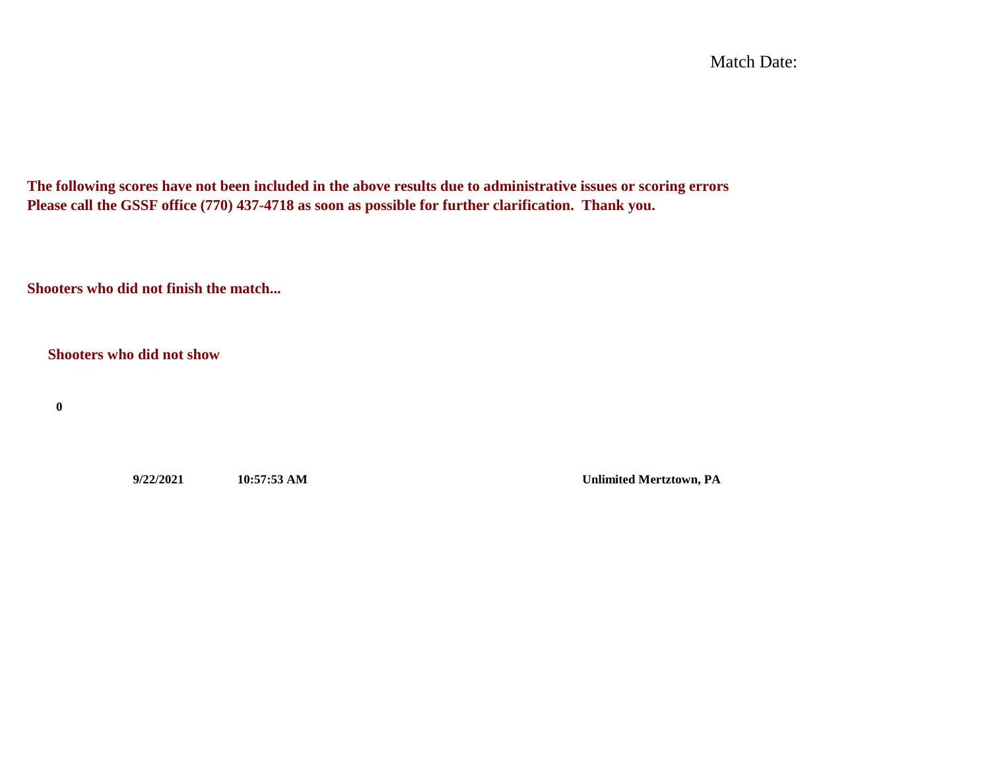Match Date:

**The following scores have not been included in the above results due to administrative issues or scoring errors Please call the GSSF office (770) 437-4718 as soon as possible for further clarification. Thank you.**

**Shooters who did not finish the match...**

**Shooters who did not show**

**0**

**9/22/2021 10:57:53 AM Unlimited Mertztown, PA**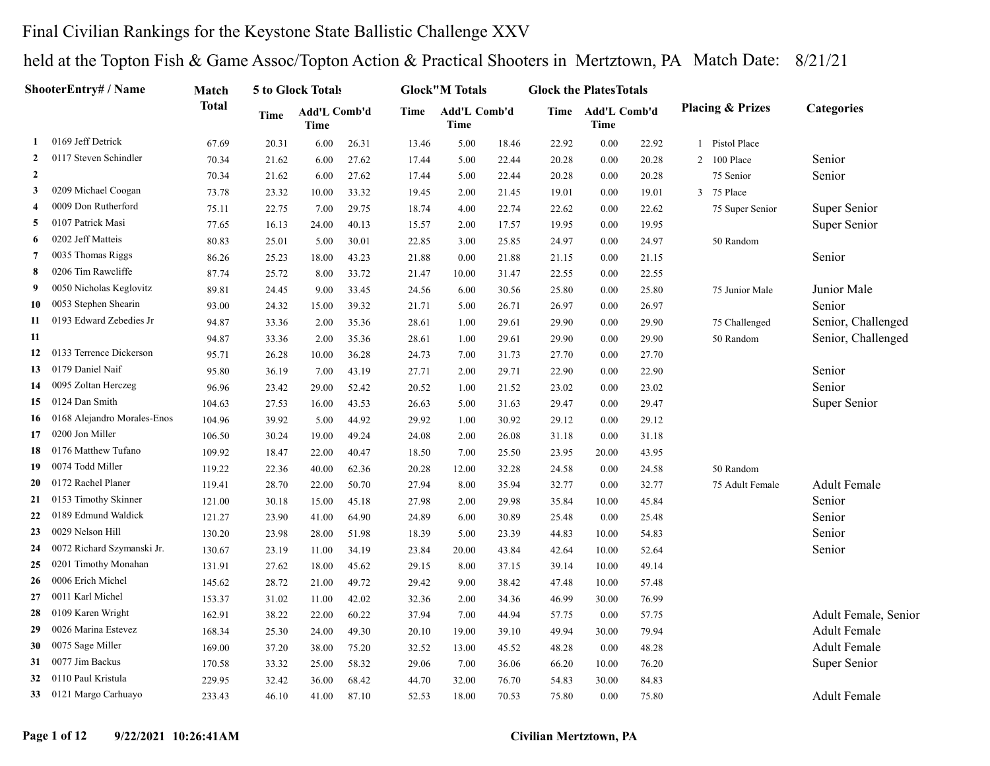#### Final Civilian Rankings for the Keystone State Ballistic Challenge XXV

| <b>ShooterEntry# / Name</b> | Match                       |              | 5 to Glock Totals |                             |       | <b>Glock"M Totals</b> |                      | <b>Glock the PlatesTotals</b> |       |                                  |       |                             |                      |
|-----------------------------|-----------------------------|--------------|-------------------|-----------------------------|-------|-----------------------|----------------------|-------------------------------|-------|----------------------------------|-------|-----------------------------|----------------------|
|                             |                             | <b>Total</b> | Time              | Add'L Comb'd<br><b>Time</b> |       | Time                  | Add'L Comb'd<br>Time |                               |       | Time Add'L Comb'd<br><b>Time</b> |       | <b>Placing &amp; Prizes</b> | Categories           |
| -1                          | 0169 Jeff Detrick           | 67.69        | 20.31             | 6.00                        | 26.31 | 13.46                 | 5.00                 | 18.46                         | 22.92 | 0.00                             | 22.92 | 1 Pistol Place              |                      |
| $\overline{2}$              | 0117 Steven Schindler       | 70.34        | 21.62             | 6.00                        | 27.62 | 17.44                 | 5.00                 | 22.44                         | 20.28 | 0.00                             | 20.28 | 2 100 Place                 | Senior               |
| $\overline{2}$              |                             | 70.34        | 21.62             | 6.00                        | 27.62 | 17.44                 | 5.00                 | 22.44                         | 20.28 | 0.00                             | 20.28 | 75 Senior                   | Senior               |
| 3                           | 0209 Michael Coogan         | 73.78        | 23.32             | 10.00                       | 33.32 | 19.45                 | 2.00                 | 21.45                         | 19.01 | 0.00                             | 19.01 | 3 75 Place                  |                      |
| $\overline{4}$              | 0009 Don Rutherford         | 75.11        | 22.75             | 7.00                        | 29.75 | 18.74                 | 4.00                 | 22.74                         | 22.62 | 0.00                             | 22.62 | 75 Super Senior             | Super Senior         |
| 5                           | 0107 Patrick Masi           | 77.65        | 16.13             | 24.00                       | 40.13 | 15.57                 | 2.00                 | 17.57                         | 19.95 | 0.00                             | 19.95 |                             | Super Senior         |
| 6                           | 0202 Jeff Matteis           | 80.83        | 25.01             | 5.00                        | 30.01 | 22.85                 | 3.00                 | 25.85                         | 24.97 | 0.00                             | 24.97 | 50 Random                   |                      |
| 7                           | 0035 Thomas Riggs           | 86.26        | 25.23             | 18.00                       | 43.23 | 21.88                 | 0.00                 | 21.88                         | 21.15 | 0.00                             | 21.15 |                             | Senior               |
| 8                           | 0206 Tim Rawcliffe          | 87.74        | 25.72             | 8.00                        | 33.72 | 21.47                 | 10.00                | 31.47                         | 22.55 | 0.00                             | 22.55 |                             |                      |
| 9                           | 0050 Nicholas Keglovitz     | 89.81        | 24.45             | 9.00                        | 33.45 | 24.56                 | 6.00                 | 30.56                         | 25.80 | 0.00                             | 25.80 | 75 Junior Male              | Junior Male          |
| 10                          | 0053 Stephen Shearin        | 93.00        | 24.32             | 15.00                       | 39.32 | 21.71                 | 5.00                 | 26.71                         | 26.97 | 0.00                             | 26.97 |                             | Senior               |
| 11                          | 0193 Edward Zebedies Jr     | 94.87        | 33.36             | 2.00                        | 35.36 | 28.61                 | 1.00                 | 29.61                         | 29.90 | 0.00                             | 29.90 | 75 Challenged               | Senior, Challenged   |
| 11                          |                             | 94.87        | 33.36             | 2.00                        | 35.36 | 28.61                 | 1.00                 | 29.61                         | 29.90 | 0.00                             | 29.90 | 50 Random                   | Senior, Challenged   |
| 12                          | 0133 Terrence Dickerson     | 95.71        | 26.28             | 10.00                       | 36.28 | 24.73                 | 7.00                 | 31.73                         | 27.70 | 0.00                             | 27.70 |                             |                      |
| 13                          | 0179 Daniel Naif            | 95.80        | 36.19             | 7.00                        | 43.19 | 27.71                 | 2.00                 | 29.71                         | 22.90 | 0.00                             | 22.90 |                             | Senior               |
| 14                          | 0095 Zoltan Herczeg         | 96.96        | 23.42             | 29.00                       | 52.42 | 20.52                 | 1.00                 | 21.52                         | 23.02 | 0.00                             | 23.02 |                             | Senior               |
| 15                          | 0124 Dan Smith              | 104.63       | 27.53             | 16.00                       | 43.53 | 26.63                 | 5.00                 | 31.63                         | 29.47 | 0.00                             | 29.47 |                             | Super Senior         |
| 16                          | 0168 Alejandro Morales-Enos | 104.96       | 39.92             | 5.00                        | 44.92 | 29.92                 | 1.00                 | 30.92                         | 29.12 | 0.00                             | 29.12 |                             |                      |
| 17                          | 0200 Jon Miller             | 106.50       | 30.24             | 19.00                       | 49.24 | 24.08                 | 2.00                 | 26.08                         | 31.18 | 0.00                             | 31.18 |                             |                      |
| 18                          | 0176 Matthew Tufano         | 109.92       | 18.47             | 22.00                       | 40.47 | 18.50                 | 7.00                 | 25.50                         | 23.95 | 20.00                            | 43.95 |                             |                      |
| 19                          | 0074 Todd Miller            | 119.22       | 22.36             | 40.00                       | 62.36 | 20.28                 | 12.00                | 32.28                         | 24.58 | 0.00                             | 24.58 | 50 Random                   |                      |
| 20                          | 0172 Rachel Planer          | 119.41       | 28.70             | 22.00                       | 50.70 | 27.94                 | 8.00                 | 35.94                         | 32.77 | 0.00                             | 32.77 | 75 Adult Female             | <b>Adult Female</b>  |
| 21                          | 0153 Timothy Skinner        | 121.00       | 30.18             | 15.00                       | 45.18 | 27.98                 | 2.00                 | 29.98                         | 35.84 | 10.00                            | 45.84 |                             | Senior               |
| 22                          | 0189 Edmund Waldick         | 121.27       | 23.90             | 41.00                       | 64.90 | 24.89                 | 6.00                 | 30.89                         | 25.48 | 0.00                             | 25.48 |                             | Senior               |
| 23                          | 0029 Nelson Hill            | 130.20       | 23.98             | 28.00                       | 51.98 | 18.39                 | 5.00                 | 23.39                         | 44.83 | 10.00                            | 54.83 |                             | Senior               |
| 24                          | 0072 Richard Szymanski Jr.  | 130.67       | 23.19             | 11.00                       | 34.19 | 23.84                 | 20.00                | 43.84                         | 42.64 | 10.00                            | 52.64 |                             | Senior               |
| 25                          | 0201 Timothy Monahan        | 131.91       | 27.62             | 18.00                       | 45.62 | 29.15                 | 8.00                 | 37.15                         | 39.14 | 10.00                            | 49.14 |                             |                      |
| 26                          | 0006 Erich Michel           | 145.62       | 28.72             | 21.00                       | 49.72 | 29.42                 | 9.00                 | 38.42                         | 47.48 | 10.00                            | 57.48 |                             |                      |
| 27                          | 0011 Karl Michel            | 153.37       | 31.02             | 11.00                       | 42.02 | 32.36                 | 2.00                 | 34.36                         | 46.99 | 30.00                            | 76.99 |                             |                      |
| 28                          | 0109 Karen Wright           | 162.91       | 38.22             | 22.00                       | 60.22 | 37.94                 | 7.00                 | 44.94                         | 57.75 | 0.00                             | 57.75 |                             | Adult Female, Senior |
| 29                          | 0026 Marina Estevez         | 168.34       | 25.30             | 24.00                       | 49.30 | 20.10                 | 19.00                | 39.10                         | 49.94 | 30.00                            | 79.94 |                             | <b>Adult Female</b>  |
| 30                          | 0075 Sage Miller            | 169.00       | 37.20             | 38.00                       | 75.20 | 32.52                 | 13.00                | 45.52                         | 48.28 | 0.00                             | 48.28 |                             | <b>Adult Female</b>  |
| 31                          | 0077 Jim Backus             | 170.58       | 33.32             | 25.00                       | 58.32 | 29.06                 | 7.00                 | 36.06                         | 66.20 | 10.00                            | 76.20 |                             | Super Senior         |
| 32                          | 0110 Paul Kristula          | 229.95       | 32.42             | 36.00                       | 68.42 | 44.70                 | 32.00                | 76.70                         | 54.83 | 30.00                            | 84.83 |                             |                      |
|                             | 33 0121 Margo Carhuayo      | 233.43       | 46.10             | 41.00                       | 87.10 | 52.53                 | 18.00                | 70.53                         | 75.80 | 0.00                             | 75.80 |                             | <b>Adult Female</b>  |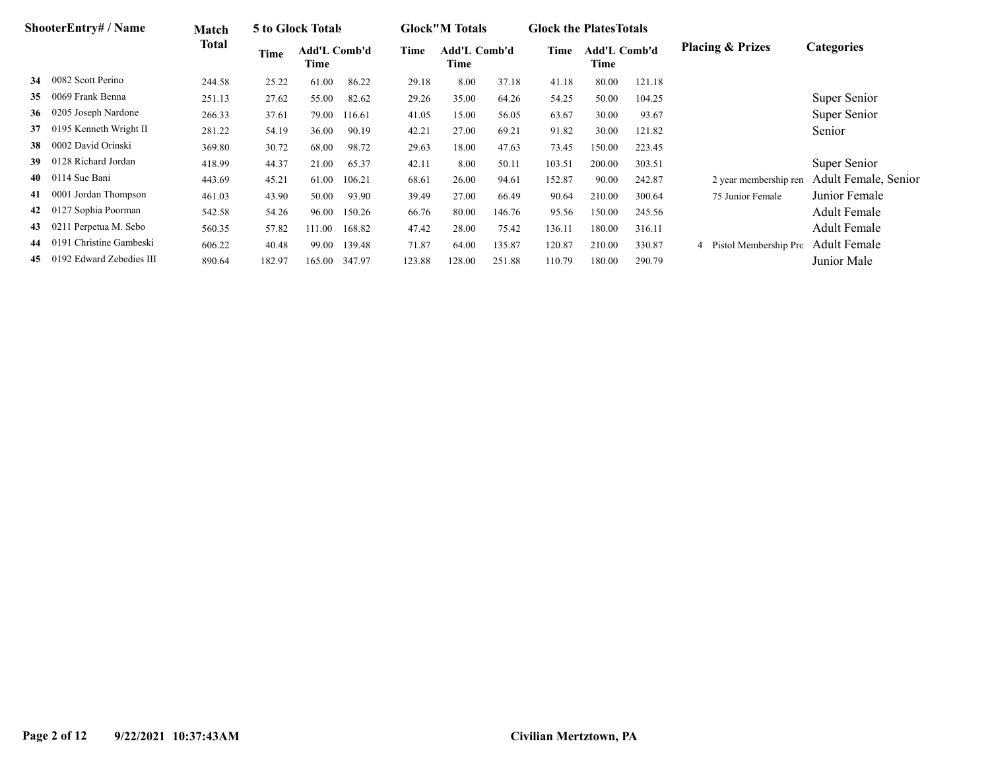|    | <b>ShooterEntry#/Name</b> | Match  |        | 5 to Glock Totals    |        |        | <b>Glock</b> "M Totals |        | <b>Glock the Plates Totals</b> |                             |        |                             |                      |
|----|---------------------------|--------|--------|----------------------|--------|--------|------------------------|--------|--------------------------------|-----------------------------|--------|-----------------------------|----------------------|
|    |                           | Total  | Time   | Add'L Comb'd<br>Time |        | Time   | Add'L Comb'd<br>Time   |        | Time                           | <b>Add'L Comb'd</b><br>Time |        | <b>Placing &amp; Prizes</b> | <b>Categories</b>    |
| 34 | 0082 Scott Perino         | 244.58 | 25.22  | 61.00                | 86.22  | 29.18  | 8.00                   | 37.18  | 41.18                          | 80.00                       | 121.18 |                             |                      |
| 35 | 0069 Frank Benna          | 251.13 | 27.62  | 55.00                | 82.62  | 29.26  | 35.00                  | 64.26  | 54.25                          | 50.00                       | 104.25 |                             | Super Senior         |
| 36 | 0205 Joseph Nardone       | 266.33 | 37.61  | 79.00                | 116.61 | 41.05  | 15.00                  | 56.05  | 63.67                          | 30.00                       | 93.67  |                             | Super Senior         |
| 37 | 0195 Kenneth Wright II    | 281.22 | 54.19  | 36.00                | 90.19  | 42.21  | 27.00                  | 69.21  | 91.82                          | 30.00                       | 121.82 |                             | Senior               |
| 38 | 0002 David Orinski        | 369.80 | 30.72  | 68.00                | 98.72  | 29.63  | 18.00                  | 47.63  | 73.45                          | 150.00                      | 223.45 |                             |                      |
| 39 | 0128 Richard Jordan       | 418.99 | 44.37  | 21.00                | 65.37  | 42.11  | 8.00                   | 50.11  | 103.51                         | 200.00                      | 303.51 |                             | Super Senior         |
| 40 | 0114 Sue Bani             | 443.69 | 45.21  | 61.00                | 106.21 | 68.61  | 26.00                  | 94.61  | 152.87                         | 90.00                       | 242.87 | 2 year membership ren       | Adult Female, Senior |
| 41 | 0001 Jordan Thompson      | 461.03 | 43.90  | 50.00                | 93.90  | 39.49  | 27.00                  | 66.49  | 90.64                          | 210.00                      | 300.64 | 75 Junior Female            | Junior Female        |
| 42 | 0127 Sophia Poorman       | 542.58 | 54.26  | 96.00                | 150.26 | 66.76  | 80.00                  | 146.76 | 95.56                          | 150.00                      | 245.56 |                             | <b>Adult Female</b>  |
| 43 | 0211 Perpetua M. Sebo     | 560.35 | 57.82  | 111.00               | 168.82 | 47.42  | 28.00                  | 75.42  | 136.11                         | 180.00                      | 316.11 |                             | <b>Adult Female</b>  |
| 44 | 0191 Christine Gambeski   | 606.22 | 40.48  | 99.00                | 139.48 | 71.87  | 64.00                  | 135.87 | 120.87                         | 210.00                      | 330.87 | Pistol Membership Pro<br>4  | <b>Adult Female</b>  |
| 45 | 0192 Edward Zebedies III  | 890.64 | 182.97 | 165.00               | 347.97 | 123.88 | 128.00                 | 251.88 | 110.79                         | 180.00                      | 290.79 |                             | Junior Male          |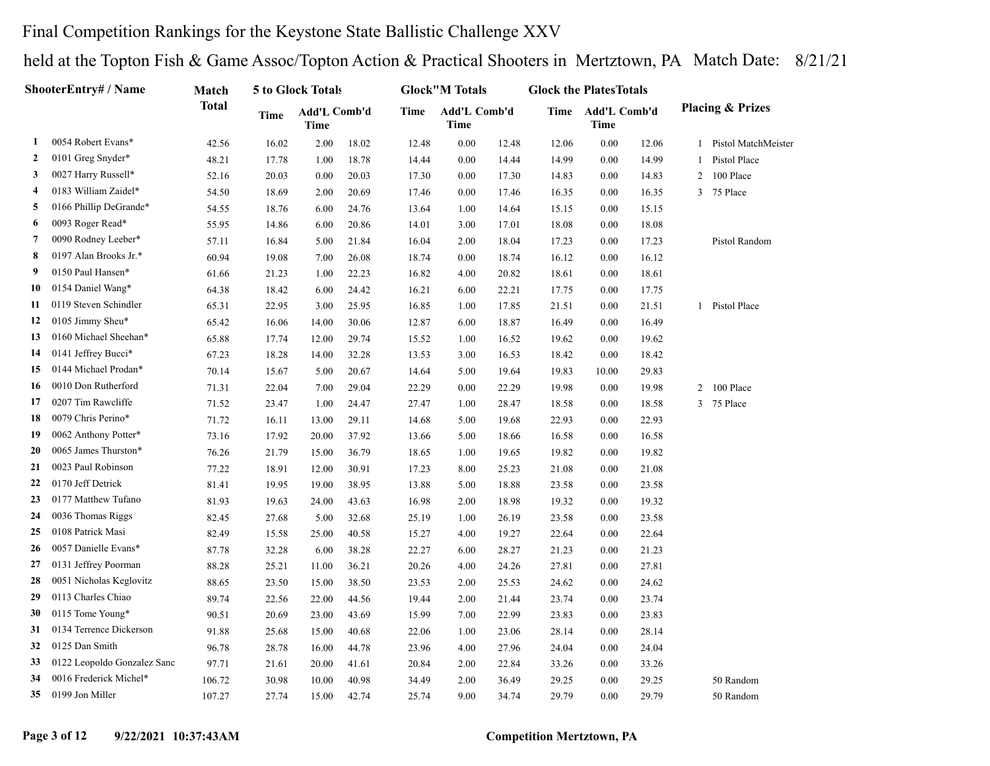#### Final Competition Rankings for the Keystone State Ballistic Challenge XXV

|    | <b>ShooterEntry# / Name</b> | Match        |       | 5 to Glock Totals           |       |       | <b>Glock</b> "M Totals |       | <b>Glock the PlatesTotals</b> |                                  |       |                |                             |
|----|-----------------------------|--------------|-------|-----------------------------|-------|-------|------------------------|-------|-------------------------------|----------------------------------|-------|----------------|-----------------------------|
|    |                             | <b>Total</b> | Time  | Add'L Comb'd<br><b>Time</b> |       | Time  | Add'L Comb'd<br>Time   |       |                               | Time Add'L Comb'd<br><b>Time</b> |       |                | <b>Placing &amp; Prizes</b> |
| 1  | 0054 Robert Evans*          | 42.56        | 16.02 | 2.00                        | 18.02 | 12.48 | 0.00                   | 12.48 | 12.06                         | 0.00                             | 12.06 | $\mathbf{1}$   | Pistol MatchMeister         |
| 2  | 0101 Greg Snyder*           | 48.21        | 17.78 | 1.00                        | 18.78 | 14.44 | 0.00                   | 14.44 | 14.99                         | 0.00                             | 14.99 | $\mathbf{1}$   | Pistol Place                |
| 3  | 0027 Harry Russell*         | 52.16        | 20.03 | 0.00                        | 20.03 | 17.30 | 0.00                   | 17.30 | 14.83                         | 0.00                             | 14.83 | $\overline{c}$ | 100 Place                   |
| 4  | 0183 William Zaidel*        | 54.50        | 18.69 | 2.00                        | 20.69 | 17.46 | 0.00                   | 17.46 | 16.35                         | 0.00                             | 16.35 | $\mathbf{3}$   | 75 Place                    |
| 5  | 0166 Phillip DeGrande*      | 54.55        | 18.76 | 6.00                        | 24.76 | 13.64 | 1.00                   | 14.64 | 15.15                         | 0.00                             | 15.15 |                |                             |
| 6  | 0093 Roger Read*            | 55.95        | 14.86 | 6.00                        | 20.86 | 14.01 | 3.00                   | 17.01 | 18.08                         | 0.00                             | 18.08 |                |                             |
| 7  | 0090 Rodney Leeber*         | 57.11        | 16.84 | 5.00                        | 21.84 | 16.04 | 2.00                   | 18.04 | 17.23                         | 0.00                             | 17.23 |                | Pistol Random               |
| 8  | 0197 Alan Brooks Jr.*       | 60.94        | 19.08 | 7.00                        | 26.08 | 18.74 | 0.00                   | 18.74 | 16.12                         | 0.00                             | 16.12 |                |                             |
| 9  | 0150 Paul Hansen*           | 61.66        | 21.23 | 1.00                        | 22.23 | 16.82 | 4.00                   | 20.82 | 18.61                         | 0.00                             | 18.61 |                |                             |
| 10 | 0154 Daniel Wang*           | 64.38        | 18.42 | 6.00                        | 24.42 | 16.21 | 6.00                   | 22.21 | 17.75                         | 0.00                             | 17.75 |                |                             |
| 11 | 0119 Steven Schindler       | 65.31        | 22.95 | 3.00                        | 25.95 | 16.85 | 1.00                   | 17.85 | 21.51                         | 0.00                             | 21.51 |                | 1 Pistol Place              |
| 12 | 0105 Jimmy Sheu*            | 65.42        | 16.06 | 14.00                       | 30.06 | 12.87 | 6.00                   | 18.87 | 16.49                         | 0.00                             | 16.49 |                |                             |
| 13 | 0160 Michael Sheehan*       | 65.88        | 17.74 | 12.00                       | 29.74 | 15.52 | 1.00                   | 16.52 | 19.62                         | 0.00                             | 19.62 |                |                             |
| 14 | 0141 Jeffrey Bucci*         | 67.23        | 18.28 | 14.00                       | 32.28 | 13.53 | 3.00                   | 16.53 | 18.42                         | 0.00                             | 18.42 |                |                             |
| 15 | 0144 Michael Prodan*        | 70.14        | 15.67 | 5.00                        | 20.67 | 14.64 | 5.00                   | 19.64 | 19.83                         | 10.00                            | 29.83 |                |                             |
| 16 | 0010 Don Rutherford         | 71.31        | 22.04 | 7.00                        | 29.04 | 22.29 | 0.00                   | 22.29 | 19.98                         | 0.00                             | 19.98 | $\overline{c}$ | 100 Place                   |
| 17 | 0207 Tim Rawcliffe          | 71.52        | 23.47 | 1.00                        | 24.47 | 27.47 | 1.00                   | 28.47 | 18.58                         | 0.00                             | 18.58 | 3              | 75 Place                    |
| 18 | 0079 Chris Perino*          | 71.72        | 16.11 | 13.00                       | 29.11 | 14.68 | 5.00                   | 19.68 | 22.93                         | 0.00                             | 22.93 |                |                             |
| 19 | 0062 Anthony Potter*        | 73.16        | 17.92 | 20.00                       | 37.92 | 13.66 | 5.00                   | 18.66 | 16.58                         | 0.00                             | 16.58 |                |                             |
| 20 | 0065 James Thurston*        | 76.26        | 21.79 | 15.00                       | 36.79 | 18.65 | 1.00                   | 19.65 | 19.82                         | 0.00                             | 19.82 |                |                             |
| 21 | 0023 Paul Robinson          | 77.22        | 18.91 | 12.00                       | 30.91 | 17.23 | 8.00                   | 25.23 | 21.08                         | 0.00                             | 21.08 |                |                             |
| 22 | 0170 Jeff Detrick           | 81.41        | 19.95 | 19.00                       | 38.95 | 13.88 | 5.00                   | 18.88 | 23.58                         | 0.00                             | 23.58 |                |                             |
| 23 | 0177 Matthew Tufano         | 81.93        | 19.63 | 24.00                       | 43.63 | 16.98 | 2.00                   | 18.98 | 19.32                         | 0.00                             | 19.32 |                |                             |
| 24 | 0036 Thomas Riggs           | 82.45        | 27.68 | 5.00                        | 32.68 | 25.19 | 1.00                   | 26.19 | 23.58                         | 0.00                             | 23.58 |                |                             |
| 25 | 0108 Patrick Masi           | 82.49        | 15.58 | 25.00                       | 40.58 | 15.27 | 4.00                   | 19.27 | 22.64                         | 0.00                             | 22.64 |                |                             |
| 26 | 0057 Danielle Evans*        | 87.78        | 32.28 | 6.00                        | 38.28 | 22.27 | 6.00                   | 28.27 | 21.23                         | 0.00                             | 21.23 |                |                             |
| 27 | 0131 Jeffrey Poorman        | 88.28        | 25.21 | 11.00                       | 36.21 | 20.26 | 4.00                   | 24.26 | 27.81                         | 0.00                             | 27.81 |                |                             |
| 28 | 0051 Nicholas Keglovitz     | 88.65        | 23.50 | 15.00                       | 38.50 | 23.53 | 2.00                   | 25.53 | 24.62                         | 0.00                             | 24.62 |                |                             |
| 29 | 0113 Charles Chiao          | 89.74        | 22.56 | 22.00                       | 44.56 | 19.44 | 2.00                   | 21.44 | 23.74                         | 0.00                             | 23.74 |                |                             |
| 30 | 0115 Tome Young*            | 90.51        | 20.69 | 23.00                       | 43.69 | 15.99 | 7.00                   | 22.99 | 23.83                         | 0.00                             | 23.83 |                |                             |
| 31 | 0134 Terrence Dickerson     | 91.88        | 25.68 | 15.00                       | 40.68 | 22.06 | 1.00                   | 23.06 | 28.14                         | 0.00                             | 28.14 |                |                             |
| 32 | 0125 Dan Smith              | 96.78        | 28.78 | 16.00                       | 44.78 | 23.96 | 4.00                   | 27.96 | 24.04                         | 0.00                             | 24.04 |                |                             |
| 33 | 0122 Leopoldo Gonzalez Sanc | 97.71        | 21.61 | 20.00                       | 41.61 | 20.84 | 2.00                   | 22.84 | 33.26                         | 0.00                             | 33.26 |                |                             |
| 34 | 0016 Frederick Michel*      | 106.72       | 30.98 | 10.00                       | 40.98 | 34.49 | 2.00                   | 36.49 | 29.25                         | 0.00                             | 29.25 |                | 50 Random                   |
| 35 | 0199 Jon Miller             | 107.27       | 27.74 | 15.00                       | 42.74 | 25.74 | 9.00                   | 34.74 | 29.79                         | 0.00                             | 29.79 |                | 50 Random                   |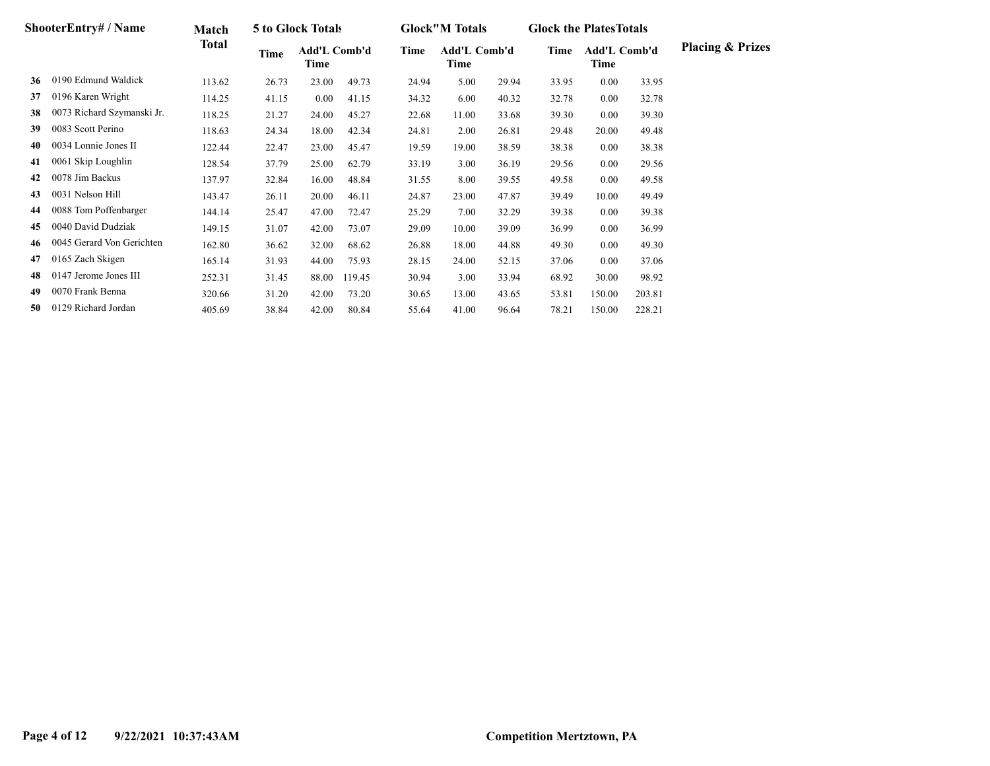|    | <b>ShooterEntry#/Name</b>  | Match  |       | 5 to Glock Totals    |        |       | <b>Glock</b> "M Totals      |       | <b>Glock the Plates Totals</b> |                             |        |                             |
|----|----------------------------|--------|-------|----------------------|--------|-------|-----------------------------|-------|--------------------------------|-----------------------------|--------|-----------------------------|
|    |                            | Total  | Time  | Add'L Comb'd<br>Time |        | Time  | <b>Add'L Comb'd</b><br>Time |       | Time                           | <b>Add'L Comb'd</b><br>Time |        | <b>Placing &amp; Prizes</b> |
| 36 | 0190 Edmund Waldick        | 113.62 | 26.73 | 23.00                | 49.73  | 24.94 | 5.00                        | 29.94 | 33.95                          | 0.00                        | 33.95  |                             |
| 37 | 0196 Karen Wright          | 114.25 | 41.15 | 0.00                 | 41.15  | 34.32 | 6.00                        | 40.32 | 32.78                          | 0.00                        | 32.78  |                             |
| 38 | 0073 Richard Szymanski Jr. | 118.25 | 21.27 | 24.00                | 45.27  | 22.68 | 11.00                       | 33.68 | 39.30                          | 0.00                        | 39.30  |                             |
| 39 | 0083 Scott Perino          | 118.63 | 24.34 | 18.00                | 42.34  | 24.81 | 2.00                        | 26.81 | 29.48                          | 20.00                       | 49.48  |                             |
| 40 | 0034 Lonnie Jones II       | 122.44 | 22.47 | 23.00                | 45.47  | 19.59 | 19.00                       | 38.59 | 38.38                          | 0.00                        | 38.38  |                             |
| 41 | 0061 Skip Loughlin         | 128.54 | 37.79 | 25.00                | 62.79  | 33.19 | 3.00                        | 36.19 | 29.56                          | 0.00                        | 29.56  |                             |
| 42 | 0078 Jim Backus            | 137.97 | 32.84 | 16.00                | 48.84  | 31.55 | 8.00                        | 39.55 | 49.58                          | 0.00                        | 49.58  |                             |
| 43 | 0031 Nelson Hill           | 143.47 | 26.11 | 20.00                | 46.11  | 24.87 | 23.00                       | 47.87 | 39.49                          | 10.00                       | 49.49  |                             |
| 44 | 0088 Tom Poffenbarger      | 144.14 | 25.47 | 47.00                | 72.47  | 25.29 | 7.00                        | 32.29 | 39.38                          | 0.00                        | 39.38  |                             |
| 45 | 0040 David Dudziak         | 149.15 | 31.07 | 42.00                | 73.07  | 29.09 | 10.00                       | 39.09 | 36.99                          | 0.00                        | 36.99  |                             |
| 46 | 0045 Gerard Von Gerichten  | 162.80 | 36.62 | 32.00                | 68.62  | 26.88 | 18.00                       | 44.88 | 49.30                          | 0.00                        | 49.30  |                             |
| 47 | 0165 Zach Skigen           | 165.14 | 31.93 | 44.00                | 75.93  | 28.15 | 24.00                       | 52.15 | 37.06                          | 0.00                        | 37.06  |                             |
| 48 | 0147 Jerome Jones III      | 252.31 | 31.45 | 88.00                | 119.45 | 30.94 | 3.00                        | 33.94 | 68.92                          | 30.00                       | 98.92  |                             |
| 49 | 0070 Frank Benna           | 320.66 | 31.20 | 42.00                | 73.20  | 30.65 | 13.00                       | 43.65 | 53.81                          | 150.00                      | 203.81 |                             |
| 50 | 0129 Richard Jordan        | 405.69 | 38.84 | 42.00                | 80.84  | 55.64 | 41.00                       | 96.64 | 78.21                          | 150.00                      | 228.21 |                             |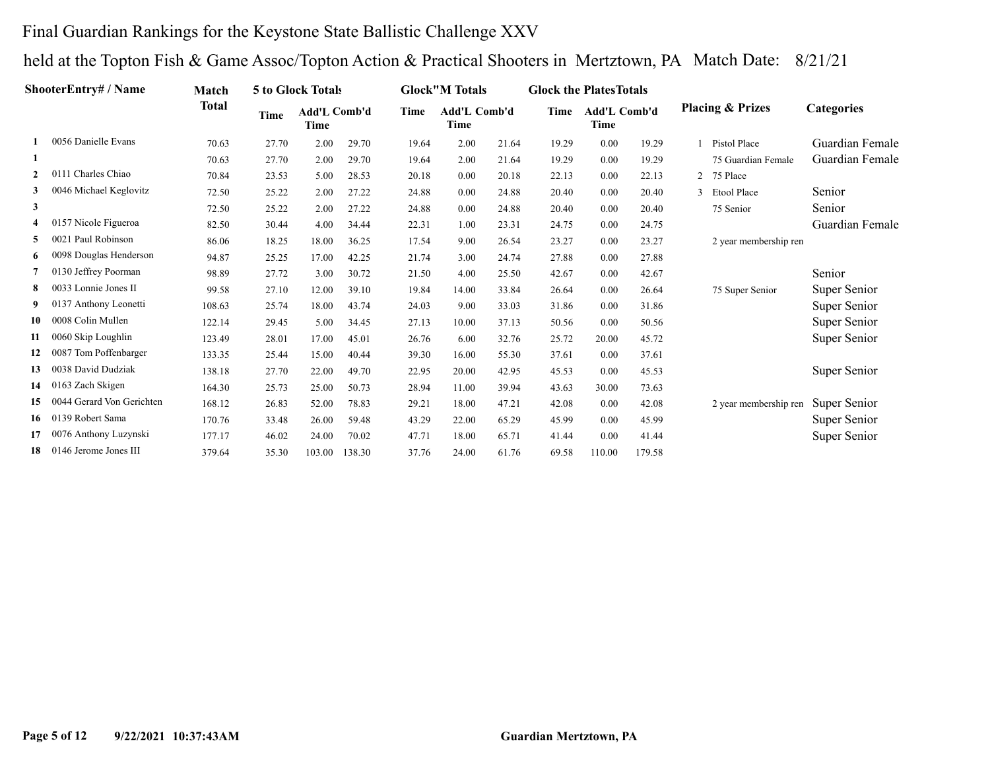#### Final Guardian Rankings for the Keystone State Ballistic Challenge XXV

|                | ShooterEntry# / Name      | Match        |             | 5 to Glock Totals           |        |       | <b>Glock</b> "M Totals             |       | <b>Glock the Plates Totals</b> |                      |        |   |                             |                   |
|----------------|---------------------------|--------------|-------------|-----------------------------|--------|-------|------------------------------------|-------|--------------------------------|----------------------|--------|---|-----------------------------|-------------------|
|                |                           | <b>Total</b> | <b>Time</b> | Add'L Comb'd<br><b>Time</b> |        | Time  | <b>Add'L Comb'd</b><br><b>Time</b> |       | Time                           | Add'L Comb'd<br>Time |        |   | <b>Placing &amp; Prizes</b> | <b>Categories</b> |
|                | 0056 Danielle Evans       | 70.63        | 27.70       | 2.00                        | 29.70  | 19.64 | 2.00                               | 21.64 | 19.29                          | 0.00                 | 19.29  |   | Pistol Place                | Guardian Female   |
| -1             |                           | 70.63        | 27.70       | 2.00                        | 29.70  | 19.64 | 2.00                               | 21.64 | 19.29                          | 0.00                 | 19.29  |   | 75 Guardian Female          | Guardian Female   |
| $\overline{2}$ | 0111 Charles Chiao        | 70.84        | 23.53       | 5.00                        | 28.53  | 20.18 | 0.00                               | 20.18 | 22.13                          | 0.00                 | 22.13  | 2 | 75 Place                    |                   |
| 3              | 0046 Michael Keglovitz    | 72.50        | 25.22       | 2.00                        | 27.22  | 24.88 | 0.00                               | 24.88 | 20.40                          | 0.00                 | 20.40  |   | <b>Etool Place</b>          | Senior            |
| $\mathbf{3}$   |                           | 72.50        | 25.22       | 2.00                        | 27.22  | 24.88 | 0.00                               | 24.88 | 20.40                          | 0.00                 | 20.40  |   | 75 Senior                   | Senior            |
| 4              | 0157 Nicole Figueroa      | 82.50        | 30.44       | 4.00                        | 34.44  | 22.31 | 1.00                               | 23.31 | 24.75                          | 0.00                 | 24.75  |   |                             | Guardian Female   |
| 5.             | 0021 Paul Robinson        | 86.06        | 18.25       | 18.00                       | 36.25  | 17.54 | 9.00                               | 26.54 | 23.27                          | 0.00                 | 23.27  |   | 2 year membership ren       |                   |
| 6              | 0098 Douglas Henderson    | 94.87        | 25.25       | 17.00                       | 42.25  | 21.74 | 3.00                               | 24.74 | 27.88                          | 0.00                 | 27.88  |   |                             |                   |
| 7              | 0130 Jeffrey Poorman      | 98.89        | 27.72       | 3.00                        | 30.72  | 21.50 | 4.00                               | 25.50 | 42.67                          | 0.00                 | 42.67  |   |                             | Senior            |
| 8              | 0033 Lonnie Jones II      | 99.58        | 27.10       | 12.00                       | 39.10  | 19.84 | 14.00                              | 33.84 | 26.64                          | 0.00                 | 26.64  |   | 75 Super Senior             | Super Senior      |
| 9              | 0137 Anthony Leonetti     | 108.63       | 25.74       | 18.00                       | 43.74  | 24.03 | 9.00                               | 33.03 | 31.86                          | 0.00                 | 31.86  |   |                             | Super Senior      |
| 10             | 0008 Colin Mullen         | 122.14       | 29.45       | 5.00                        | 34.45  | 27.13 | 10.00                              | 37.13 | 50.56                          | 0.00                 | 50.56  |   |                             | Super Senior      |
| 11             | 0060 Skip Loughlin        | 123.49       | 28.01       | 17.00                       | 45.01  | 26.76 | 6.00                               | 32.76 | 25.72                          | 20.00                | 45.72  |   |                             | Super Senior      |
| 12             | 0087 Tom Poffenbarger     | 133.35       | 25.44       | 15.00                       | 40.44  | 39.30 | 16.00                              | 55.30 | 37.61                          | 0.00                 | 37.61  |   |                             |                   |
| 13             | 0038 David Dudziak        | 138.18       | 27.70       | 22.00                       | 49.70  | 22.95 | 20.00                              | 42.95 | 45.53                          | 0.00                 | 45.53  |   |                             | Super Senior      |
| 14             | 0163 Zach Skigen          | 164.30       | 25.73       | 25.00                       | 50.73  | 28.94 | 11.00                              | 39.94 | 43.63                          | 30.00                | 73.63  |   |                             |                   |
| 15             | 0044 Gerard Von Gerichten | 168.12       | 26.83       | 52.00                       | 78.83  | 29.21 | 18.00                              | 47.21 | 42.08                          | 0.00                 | 42.08  |   | 2 year membership ren       | Super Senior      |
| 16             | 0139 Robert Sama          | 170.76       | 33.48       | 26.00                       | 59.48  | 43.29 | 22.00                              | 65.29 | 45.99                          | 0.00                 | 45.99  |   |                             | Super Senior      |
| 17             | 0076 Anthony Luzynski     | 177.17       | 46.02       | 24.00                       | 70.02  | 47.71 | 18.00                              | 65.71 | 41.44                          | 0.00                 | 41.44  |   |                             | Super Senior      |
| 18             | 0146 Jerome Jones III     | 379.64       | 35.30       | 103.00                      | 138.30 | 37.76 | 24.00                              | 61.76 | 69.58                          | 110.00               | 179.58 |   |                             |                   |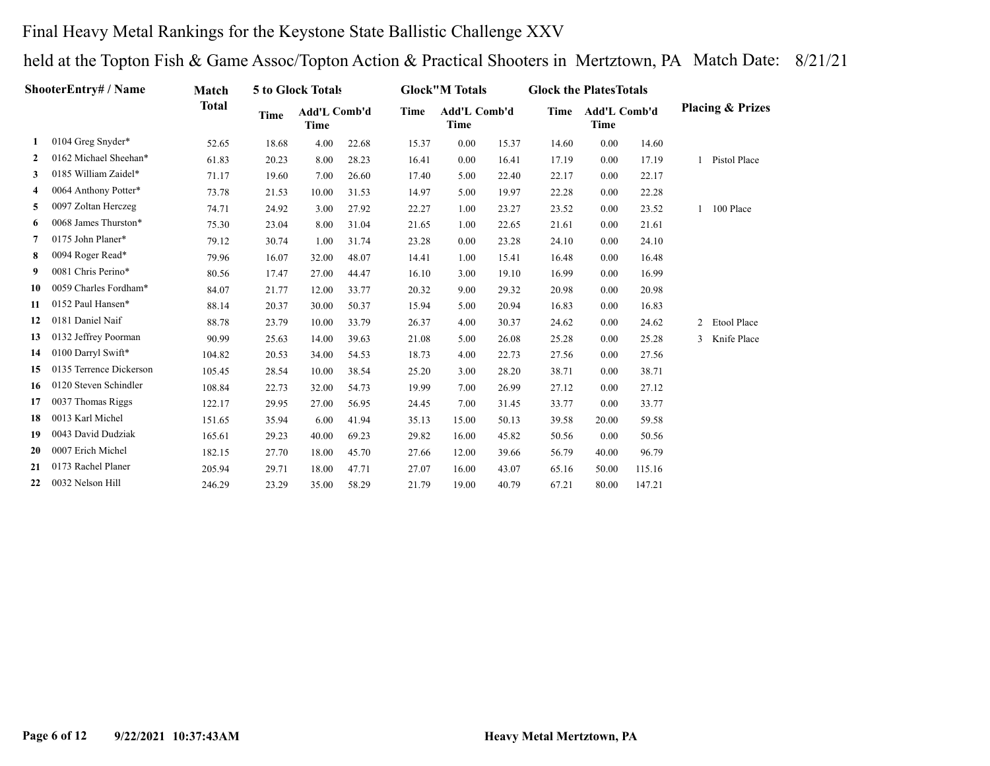## Final Heavy Metal Rankings for the Keystone State Ballistic Challenge XXV

|              | ShooterEntry# / Name    | Match        |       | 5 to Glock Totals           |       |       | <b>Glock</b> "M Totals |       | <b>Glock the PlatesTotals</b> |                      |        |   |                             |
|--------------|-------------------------|--------------|-------|-----------------------------|-------|-------|------------------------|-------|-------------------------------|----------------------|--------|---|-----------------------------|
|              |                         | <b>Total</b> | Time  | Add'L Comb'd<br><b>Time</b> |       | Time  | Add'L Comb'd<br>Time   |       | Time                          | Add'L Comb'd<br>Time |        |   | <b>Placing &amp; Prizes</b> |
| 1            | 0104 Greg Snyder*       | 52.65        | 18.68 | 4.00                        | 22.68 | 15.37 | 0.00                   | 15.37 | 14.60                         | 0.00                 | 14.60  |   |                             |
| $\mathbf{2}$ | 0162 Michael Sheehan*   | 61.83        | 20.23 | 8.00                        | 28.23 | 16.41 | 0.00                   | 16.41 | 17.19                         | 0.00                 | 17.19  |   | Pistol Place                |
| 3            | 0185 William Zaidel*    | 71.17        | 19.60 | 7.00                        | 26.60 | 17.40 | 5.00                   | 22.40 | 22.17                         | 0.00                 | 22.17  |   |                             |
| 4            | 0064 Anthony Potter*    | 73.78        | 21.53 | 10.00                       | 31.53 | 14.97 | 5.00                   | 19.97 | 22.28                         | 0.00                 | 22.28  |   |                             |
| 5            | 0097 Zoltan Herczeg     | 74.71        | 24.92 | 3.00                        | 27.92 | 22.27 | 1.00                   | 23.27 | 23.52                         | 0.00                 | 23.52  |   | 100 Place                   |
| 6            | 0068 James Thurston*    | 75.30        | 23.04 | 8.00                        | 31.04 | 21.65 | 1.00                   | 22.65 | 21.61                         | 0.00                 | 21.61  |   |                             |
| 7            | 0175 John Planer*       | 79.12        | 30.74 | 1.00                        | 31.74 | 23.28 | 0.00                   | 23.28 | 24.10                         | 0.00                 | 24.10  |   |                             |
| 8            | 0094 Roger Read*        | 79.96        | 16.07 | 32.00                       | 48.07 | 14.41 | 1.00                   | 15.41 | 16.48                         | 0.00                 | 16.48  |   |                             |
| 9            | 0081 Chris Perino*      | 80.56        | 17.47 | 27.00                       | 44.47 | 16.10 | 3.00                   | 19.10 | 16.99                         | 0.00                 | 16.99  |   |                             |
| 10           | 0059 Charles Fordham*   | 84.07        | 21.77 | 12.00                       | 33.77 | 20.32 | 9.00                   | 29.32 | 20.98                         | 0.00                 | 20.98  |   |                             |
| 11           | 0152 Paul Hansen*       | 88.14        | 20.37 | 30.00                       | 50.37 | 15.94 | 5.00                   | 20.94 | 16.83                         | 0.00                 | 16.83  |   |                             |
| 12           | 0181 Daniel Naif        | 88.78        | 23.79 | 10.00                       | 33.79 | 26.37 | 4.00                   | 30.37 | 24.62                         | 0.00                 | 24.62  | 2 | Etool Place                 |
| 13           | 0132 Jeffrey Poorman    | 90.99        | 25.63 | 14.00                       | 39.63 | 21.08 | 5.00                   | 26.08 | 25.28                         | 0.00                 | 25.28  | 3 | Knife Place                 |
| 14           | 0100 Darryl Swift*      | 104.82       | 20.53 | 34.00                       | 54.53 | 18.73 | 4.00                   | 22.73 | 27.56                         | 0.00                 | 27.56  |   |                             |
| 15           | 0135 Terrence Dickerson | 105.45       | 28.54 | 10.00                       | 38.54 | 25.20 | 3.00                   | 28.20 | 38.71                         | 0.00                 | 38.71  |   |                             |
| 16           | 0120 Steven Schindler   | 108.84       | 22.73 | 32.00                       | 54.73 | 19.99 | 7.00                   | 26.99 | 27.12                         | 0.00                 | 27.12  |   |                             |
| 17           | 0037 Thomas Riggs       | 122.17       | 29.95 | 27.00                       | 56.95 | 24.45 | 7.00                   | 31.45 | 33.77                         | 0.00                 | 33.77  |   |                             |
| 18           | 0013 Karl Michel        | 151.65       | 35.94 | 6.00                        | 41.94 | 35.13 | 15.00                  | 50.13 | 39.58                         | 20.00                | 59.58  |   |                             |
| 19           | 0043 David Dudziak      | 165.61       | 29.23 | 40.00                       | 69.23 | 29.82 | 16.00                  | 45.82 | 50.56                         | 0.00                 | 50.56  |   |                             |
| 20           | 0007 Erich Michel       | 182.15       | 27.70 | 18.00                       | 45.70 | 27.66 | 12.00                  | 39.66 | 56.79                         | 40.00                | 96.79  |   |                             |
| 21           | 0173 Rachel Planer      | 205.94       | 29.71 | 18.00                       | 47.71 | 27.07 | 16.00                  | 43.07 | 65.16                         | 50.00                | 115.16 |   |                             |
| 22           | 0032 Nelson Hill        | 246.29       | 23.29 | 35.00                       | 58.29 | 21.79 | 19.00                  | 40.79 | 67.21                         | 80.00                | 147.21 |   |                             |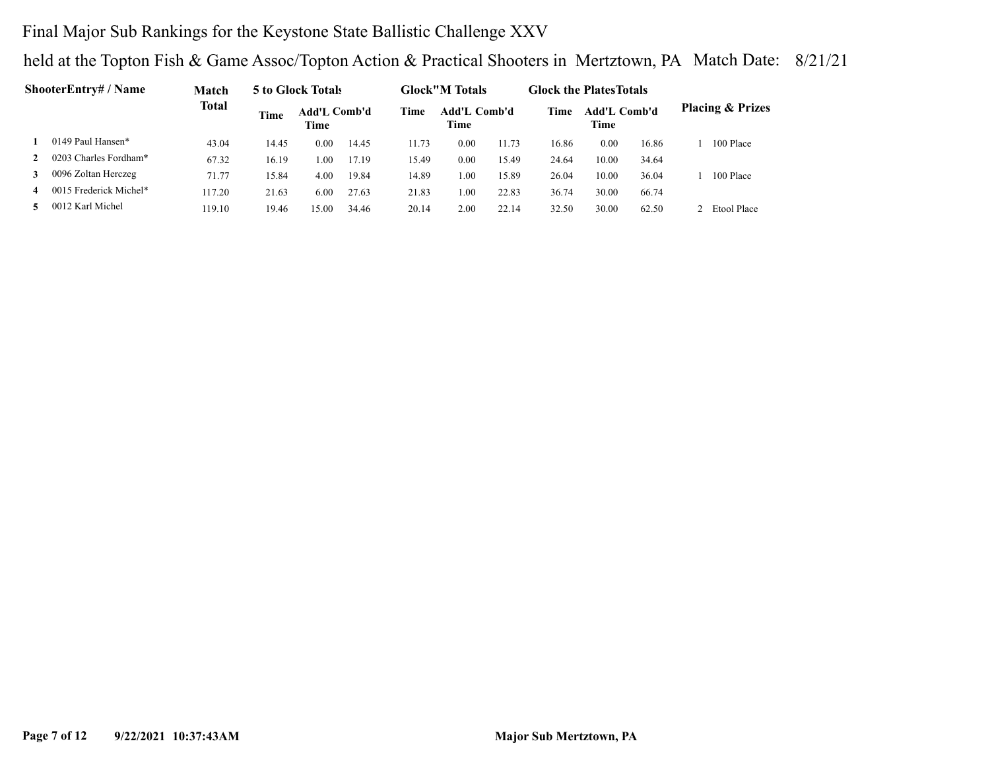## Final Major Sub Rankings for the Keystone State Ballistic Challenge XXV

|   | <b>ShooterEntry# / Name</b> | Match  |             | 5 to Glock Totals    |       |       | <b>Glock</b> "M Totals      |       | <b>Glock the Plates Totals</b> |                      |       |                             |
|---|-----------------------------|--------|-------------|----------------------|-------|-------|-----------------------------|-------|--------------------------------|----------------------|-------|-----------------------------|
|   |                             | Total  | <b>Time</b> | Add'L Comb'd<br>Time |       | Time  | Add'L Comb'd<br><b>Time</b> |       | Time                           | Add'L Comb'd<br>Time |       | <b>Placing &amp; Prizes</b> |
|   | 0149 Paul Hansen*           | 43.04  | 14.45       | 0.00                 | 14.45 | 11.73 | 0.00                        | 11.73 | 16.86                          | 0.00                 | 16.86 | 100 Place                   |
|   | 0203 Charles Fordham*       | 67.32  | 16.19       | .00                  | 17.19 | 15.49 | 0.00                        | 15.49 | 24.64                          | 10.00                | 34.64 |                             |
| 3 | 0096 Zoltan Herczeg         | 71.77  | 15.84       | 4.00                 | 19.84 | 14.89 | 0.00                        | 15.89 | 26.04                          | 10.00                | 36.04 | 100 Place                   |
| 4 | 0015 Frederick Michel*      | 117.20 | 21.63       | 6.00                 | 27.63 | 21.83 | $00$ .                      | 22.83 | 36.74                          | 30.00                | 66.74 |                             |
|   | 0012 Karl Michel            | 119.10 | 19.46       | 15.00                | 34.46 | 20.14 | 2.00                        | 22.14 | 32.50                          | 30.00                | 62.50 | Etool Place                 |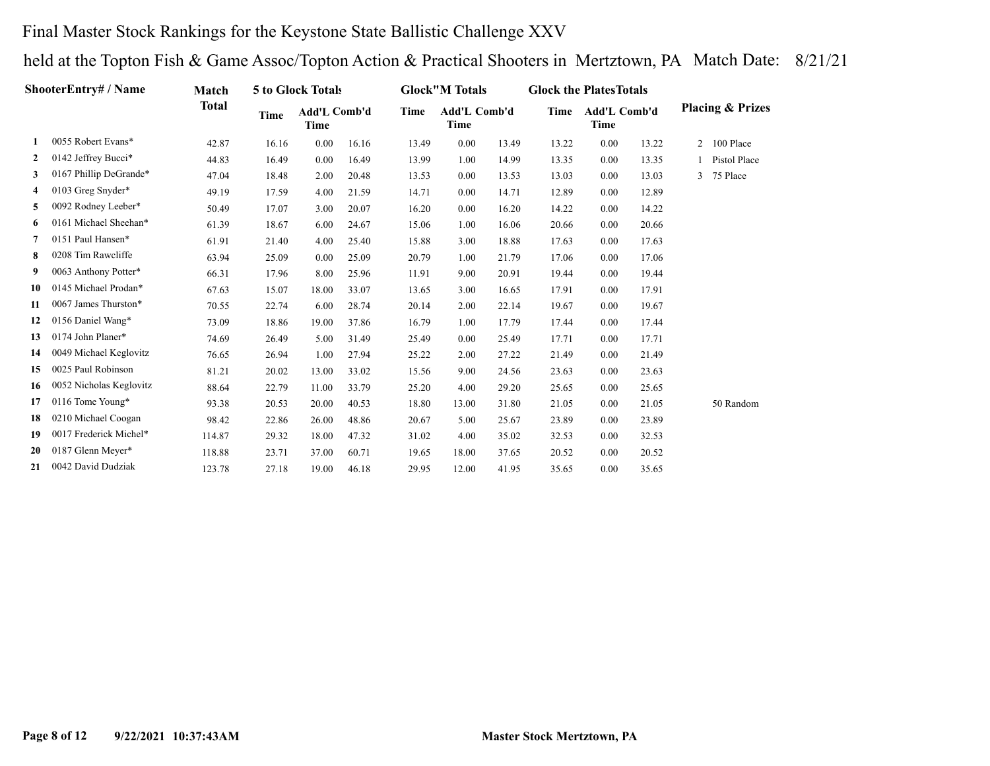## Final Master Stock Rankings for the Keystone State Ballistic Challenge XXV

|              | ShooterEntry# / Name    | Match  |             | 5 to Glock Totals    |       |       | <b>Glock</b> "M Totals |       | <b>Glock the Plates Totals</b> |                             |       |                |                             |
|--------------|-------------------------|--------|-------------|----------------------|-------|-------|------------------------|-------|--------------------------------|-----------------------------|-------|----------------|-----------------------------|
|              |                         | Total  | <b>Time</b> | Add'L Comb'd<br>Time |       | Time  | Add'L Comb'd<br>Time   |       | Time                           | <b>Add'L Comb'd</b><br>Time |       |                | <b>Placing &amp; Prizes</b> |
| 1            | 0055 Robert Evans*      | 42.87  | 16.16       | 0.00                 | 16.16 | 13.49 | 0.00                   | 13.49 | 13.22                          | 0.00                        | 13.22 | $\overline{2}$ | 100 Place                   |
| $\mathbf{2}$ | 0142 Jeffrey Bucci*     | 44.83  | 16.49       | 0.00                 | 16.49 | 13.99 | 1.00                   | 14.99 | 13.35                          | 0.00                        | 13.35 |                | Pistol Place                |
| 3            | 0167 Phillip DeGrande*  | 47.04  | 18.48       | 2.00                 | 20.48 | 13.53 | 0.00                   | 13.53 | 13.03                          | 0.00                        | 13.03 | $\mathbf{3}$   | 75 Place                    |
| 4            | 0103 Greg Snyder*       | 49.19  | 17.59       | 4.00                 | 21.59 | 14.71 | 0.00                   | 14.71 | 12.89                          | 0.00                        | 12.89 |                |                             |
| 5            | 0092 Rodney Leeber*     | 50.49  | 17.07       | 3.00                 | 20.07 | 16.20 | 0.00                   | 16.20 | 14.22                          | 0.00                        | 14.22 |                |                             |
| 6            | 0161 Michael Sheehan*   | 61.39  | 18.67       | 6.00                 | 24.67 | 15.06 | 1.00                   | 16.06 | 20.66                          | 0.00                        | 20.66 |                |                             |
| 7            | 0151 Paul Hansen*       | 61.91  | 21.40       | 4.00                 | 25.40 | 15.88 | 3.00                   | 18.88 | 17.63                          | 0.00                        | 17.63 |                |                             |
| 8            | 0208 Tim Rawcliffe      | 63.94  | 25.09       | 0.00                 | 25.09 | 20.79 | 1.00                   | 21.79 | 17.06                          | 0.00                        | 17.06 |                |                             |
| 9            | 0063 Anthony Potter*    | 66.31  | 17.96       | 8.00                 | 25.96 | 11.91 | 9.00                   | 20.91 | 19.44                          | 0.00                        | 19.44 |                |                             |
| 10           | 0145 Michael Prodan*    | 67.63  | 15.07       | 18.00                | 33.07 | 13.65 | 3.00                   | 16.65 | 17.91                          | 0.00                        | 17.91 |                |                             |
| 11           | 0067 James Thurston*    | 70.55  | 22.74       | 6.00                 | 28.74 | 20.14 | 2.00                   | 22.14 | 19.67                          | 0.00                        | 19.67 |                |                             |
| 12           | 0156 Daniel Wang*       | 73.09  | 18.86       | 19.00                | 37.86 | 16.79 | 1.00                   | 17.79 | 17.44                          | 0.00                        | 17.44 |                |                             |
| 13           | 0174 John Planer*       | 74.69  | 26.49       | 5.00                 | 31.49 | 25.49 | 0.00                   | 25.49 | 17.71                          | 0.00                        | 17.71 |                |                             |
| 14           | 0049 Michael Keglovitz  | 76.65  | 26.94       | 1.00                 | 27.94 | 25.22 | 2.00                   | 27.22 | 21.49                          | 0.00                        | 21.49 |                |                             |
| 15           | 0025 Paul Robinson      | 81.21  | 20.02       | 13.00                | 33.02 | 15.56 | 9.00                   | 24.56 | 23.63                          | 0.00                        | 23.63 |                |                             |
| 16           | 0052 Nicholas Keglovitz | 88.64  | 22.79       | 11.00                | 33.79 | 25.20 | 4.00                   | 29.20 | 25.65                          | 0.00                        | 25.65 |                |                             |
| 17           | 0116 Tome Young*        | 93.38  | 20.53       | 20.00                | 40.53 | 18.80 | 13.00                  | 31.80 | 21.05                          | 0.00                        | 21.05 |                | 50 Random                   |
| 18           | 0210 Michael Coogan     | 98.42  | 22.86       | 26.00                | 48.86 | 20.67 | 5.00                   | 25.67 | 23.89                          | 0.00                        | 23.89 |                |                             |
| 19           | 0017 Frederick Michel*  | 114.87 | 29.32       | 18.00                | 47.32 | 31.02 | 4.00                   | 35.02 | 32.53                          | 0.00                        | 32.53 |                |                             |
| 20           | 0187 Glenn Meyer*       | 118.88 | 23.71       | 37.00                | 60.71 | 19.65 | 18.00                  | 37.65 | 20.52                          | 0.00                        | 20.52 |                |                             |
| 21           | 0042 David Dudziak      | 123.78 | 27.18       | 19.00                | 46.18 | 29.95 | 12.00                  | 41.95 | 35.65                          | 0.00                        | 35.65 |                |                             |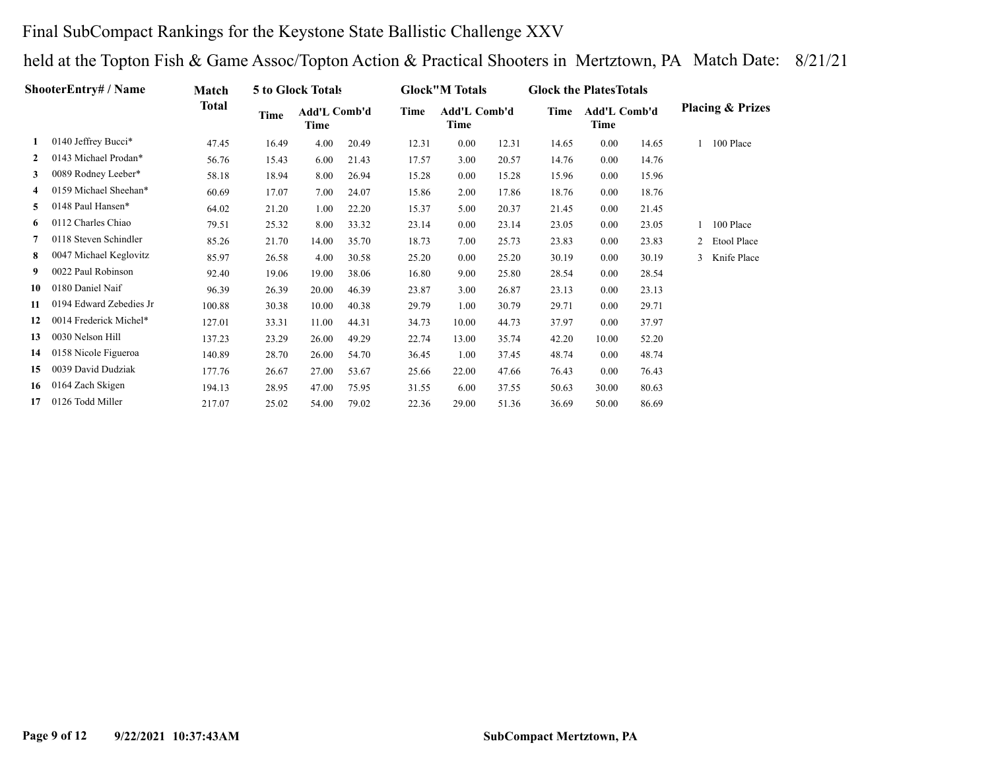## Final SubCompact Rankings for the Keystone State Ballistic Challenge XXV

|              | ShooterEntry# / Name    | Match        |       | 5 to Glock Totals    |       |       | <b>Glock</b> "M Totals |       | <b>Glock the Plates Totals</b> |                      |       |                |                             |
|--------------|-------------------------|--------------|-------|----------------------|-------|-------|------------------------|-------|--------------------------------|----------------------|-------|----------------|-----------------------------|
|              |                         | <b>Total</b> | Time  | Add'L Comb'd<br>Time |       | Time  | Add'L Comb'd<br>Time   |       | Time                           | Add'L Comb'd<br>Time |       |                | <b>Placing &amp; Prizes</b> |
|              | 0140 Jeffrey Bucci*     | 47.45        | 16.49 | 4.00                 | 20.49 | 12.31 | 0.00                   | 12.31 | 14.65                          | 0.00                 | 14.65 |                | 100 Place                   |
| $\mathbf{2}$ | 0143 Michael Prodan*    | 56.76        | 15.43 | 6.00                 | 21.43 | 17.57 | 3.00                   | 20.57 | 14.76                          | 0.00                 | 14.76 |                |                             |
| 3            | 0089 Rodney Leeber*     | 58.18        | 18.94 | 8.00                 | 26.94 | 15.28 | 0.00                   | 15.28 | 15.96                          | 0.00                 | 15.96 |                |                             |
| 4            | 0159 Michael Sheehan*   | 60.69        | 17.07 | 7.00                 | 24.07 | 15.86 | 2.00                   | 17.86 | 18.76                          | 0.00                 | 18.76 |                |                             |
| 5            | 0148 Paul Hansen*       | 64.02        | 21.20 | 1.00                 | 22.20 | 15.37 | 5.00                   | 20.37 | 21.45                          | 0.00                 | 21.45 |                |                             |
| 6            | 0112 Charles Chiao      | 79.51        | 25.32 | 8.00                 | 33.32 | 23.14 | 0.00                   | 23.14 | 23.05                          | 0.00                 | 23.05 |                | 100 Place                   |
| 7            | 0118 Steven Schindler   | 85.26        | 21.70 | 14.00                | 35.70 | 18.73 | 7.00                   | 25.73 | 23.83                          | 0.00                 | 23.83 | $\overline{2}$ | Etool Place                 |
| 8            | 0047 Michael Keglovitz  | 85.97        | 26.58 | 4.00                 | 30.58 | 25.20 | 0.00                   | 25.20 | 30.19                          | 0.00                 | 30.19 | 3              | Knife Place                 |
| 9            | 0022 Paul Robinson      | 92.40        | 19.06 | 19.00                | 38.06 | 16.80 | 9.00                   | 25.80 | 28.54                          | 0.00                 | 28.54 |                |                             |
| 10           | 0180 Daniel Naif        | 96.39        | 26.39 | 20.00                | 46.39 | 23.87 | 3.00                   | 26.87 | 23.13                          | 0.00                 | 23.13 |                |                             |
| 11           | 0194 Edward Zebedies Jr | 100.88       | 30.38 | 10.00                | 40.38 | 29.79 | 1.00                   | 30.79 | 29.71                          | 0.00                 | 29.71 |                |                             |
| 12           | 0014 Frederick Michel*  | 127.01       | 33.31 | 11.00                | 44.31 | 34.73 | 10.00                  | 44.73 | 37.97                          | 0.00                 | 37.97 |                |                             |
| 13           | 0030 Nelson Hill        | 137.23       | 23.29 | 26.00                | 49.29 | 22.74 | 13.00                  | 35.74 | 42.20                          | 10.00                | 52.20 |                |                             |
| 14           | 0158 Nicole Figueroa    | 140.89       | 28.70 | 26.00                | 54.70 | 36.45 | 1.00                   | 37.45 | 48.74                          | 0.00                 | 48.74 |                |                             |
| 15           | 0039 David Dudziak      | 177.76       | 26.67 | 27.00                | 53.67 | 25.66 | 22.00                  | 47.66 | 76.43                          | 0.00                 | 76.43 |                |                             |
| 16           | 0164 Zach Skigen        | 194.13       | 28.95 | 47.00                | 75.95 | 31.55 | 6.00                   | 37.55 | 50.63                          | 30.00                | 80.63 |                |                             |
| 17           | 0126 Todd Miller        | 217.07       | 25.02 | 54.00                | 79.02 | 22.36 | 29.00                  | 51.36 | 36.69                          | 50.00                | 86.69 |                |                             |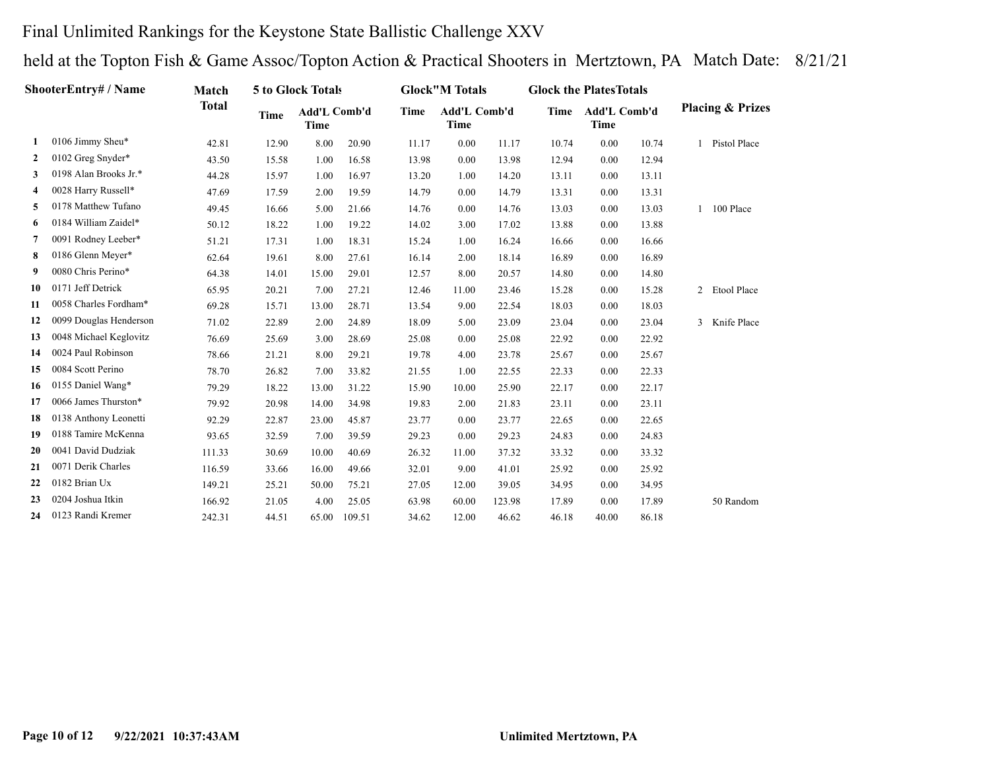## Final Unlimited Rankings for the Keystone State Ballistic Challenge XXV

|              | ShooterEntry# / Name   | Match        |             | 5 to Glock Totals           |        |       | <b>Glock</b> "M Totals             |        | <b>Glock the Plates Totals</b> |                             |       |                             |
|--------------|------------------------|--------------|-------------|-----------------------------|--------|-------|------------------------------------|--------|--------------------------------|-----------------------------|-------|-----------------------------|
|              |                        | <b>Total</b> | <b>Time</b> | Add'L Comb'd<br><b>Time</b> |        | Time  | <b>Add'L Comb'd</b><br><b>Time</b> |        | Time                           | <b>Add'L Comb'd</b><br>Time |       | <b>Placing &amp; Prizes</b> |
| 1            | 0106 Jimmy Sheu*       | 42.81        | 12.90       | 8.00                        | 20.90  | 11.17 | 0.00                               | 11.17  | 10.74                          | 0.00                        | 10.74 | Pistol Place                |
| $\mathbf{2}$ | 0102 Greg Snyder*      | 43.50        | 15.58       | 1.00                        | 16.58  | 13.98 | 0.00                               | 13.98  | 12.94                          | 0.00                        | 12.94 |                             |
| 3            | 0198 Alan Brooks Jr.*  | 44.28        | 15.97       | 1.00                        | 16.97  | 13.20 | 1.00                               | 14.20  | 13.11                          | 0.00                        | 13.11 |                             |
| 4            | 0028 Harry Russell*    | 47.69        | 17.59       | 2.00                        | 19.59  | 14.79 | 0.00                               | 14.79  | 13.31                          | 0.00                        | 13.31 |                             |
| 5            | 0178 Matthew Tufano    | 49.45        | 16.66       | 5.00                        | 21.66  | 14.76 | 0.00                               | 14.76  | 13.03                          | 0.00                        | 13.03 | 1 100 Place                 |
| 6            | 0184 William Zaidel*   | 50.12        | 18.22       | 1.00                        | 19.22  | 14.02 | 3.00                               | 17.02  | 13.88                          | 0.00                        | 13.88 |                             |
| 7            | 0091 Rodney Leeber*    | 51.21        | 17.31       | 1.00                        | 18.31  | 15.24 | 1.00                               | 16.24  | 16.66                          | 0.00                        | 16.66 |                             |
| 8            | 0186 Glenn Meyer*      | 62.64        | 19.61       | 8.00                        | 27.61  | 16.14 | 2.00                               | 18.14  | 16.89                          | 0.00                        | 16.89 |                             |
| 9            | 0080 Chris Perino*     | 64.38        | 14.01       | 15.00                       | 29.01  | 12.57 | 8.00                               | 20.57  | 14.80                          | 0.00                        | 14.80 |                             |
| 10           | 0171 Jeff Detrick      | 65.95        | 20.21       | 7.00                        | 27.21  | 12.46 | 11.00                              | 23.46  | 15.28                          | 0.00                        | 15.28 | 2 Etool Place               |
| 11           | 0058 Charles Fordham*  | 69.28        | 15.71       | 13.00                       | 28.71  | 13.54 | 9.00                               | 22.54  | 18.03                          | 0.00                        | 18.03 |                             |
| 12           | 0099 Douglas Henderson | 71.02        | 22.89       | 2.00                        | 24.89  | 18.09 | 5.00                               | 23.09  | 23.04                          | 0.00                        | 23.04 | 3 Knife Place               |
| 13           | 0048 Michael Keglovitz | 76.69        | 25.69       | 3.00                        | 28.69  | 25.08 | 0.00                               | 25.08  | 22.92                          | 0.00                        | 22.92 |                             |
| 14           | 0024 Paul Robinson     | 78.66        | 21.21       | 8.00                        | 29.21  | 19.78 | 4.00                               | 23.78  | 25.67                          | 0.00                        | 25.67 |                             |
| 15           | 0084 Scott Perino      | 78.70        | 26.82       | 7.00                        | 33.82  | 21.55 | 1.00                               | 22.55  | 22.33                          | 0.00                        | 22.33 |                             |
| 16           | 0155 Daniel Wang*      | 79.29        | 18.22       | 13.00                       | 31.22  | 15.90 | 10.00                              | 25.90  | 22.17                          | 0.00                        | 22.17 |                             |
| 17           | 0066 James Thurston*   | 79.92        | 20.98       | 14.00                       | 34.98  | 19.83 | 2.00                               | 21.83  | 23.11                          | 0.00                        | 23.11 |                             |
| 18           | 0138 Anthony Leonetti  | 92.29        | 22.87       | 23.00                       | 45.87  | 23.77 | 0.00                               | 23.77  | 22.65                          | 0.00                        | 22.65 |                             |
| 19           | 0188 Tamire McKenna    | 93.65        | 32.59       | 7.00                        | 39.59  | 29.23 | 0.00                               | 29.23  | 24.83                          | 0.00                        | 24.83 |                             |
| 20           | 0041 David Dudziak     | 111.33       | 30.69       | 10.00                       | 40.69  | 26.32 | 11.00                              | 37.32  | 33.32                          | 0.00                        | 33.32 |                             |
| 21           | 0071 Derik Charles     | 116.59       | 33.66       | 16.00                       | 49.66  | 32.01 | 9.00                               | 41.01  | 25.92                          | 0.00                        | 25.92 |                             |
| 22           | 0182 Brian Ux          | 149.21       | 25.21       | 50.00                       | 75.21  | 27.05 | 12.00                              | 39.05  | 34.95                          | 0.00                        | 34.95 |                             |
| 23           | 0204 Joshua Itkin      | 166.92       | 21.05       | 4.00                        | 25.05  | 63.98 | 60.00                              | 123.98 | 17.89                          | 0.00                        | 17.89 | 50 Random                   |
| 24           | 0123 Randi Kremer      | 242.31       | 44.51       | 65.00                       | 109.51 | 34.62 | 12.00                              | 46.62  | 46.18                          | 40.00                       | 86.18 |                             |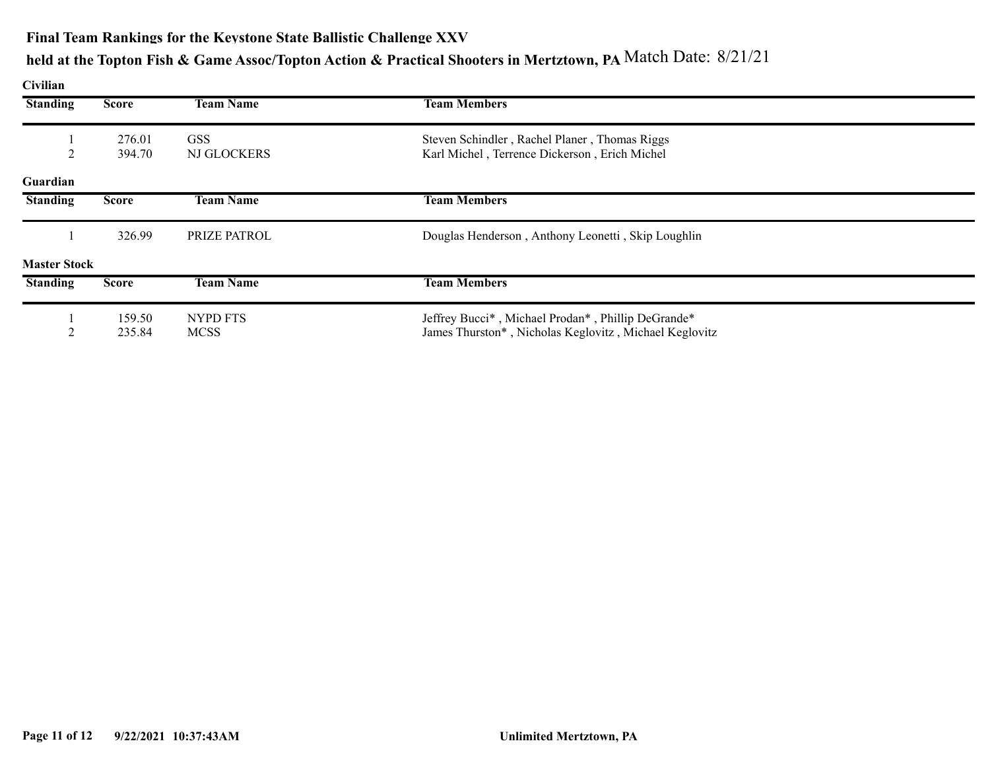#### **Final Team Rankings for the Keystone State Ballistic Challenge XXV**

# **held at the Topton Fish & Game Assoc/Topton Action & Practical Shooters in Mertztown, PA** Match Date: 8/21/21

**Civilian**

| <b>Standing</b>     | <b>Score</b>     | <b>Team Name</b>          | <b>Team Members</b>                                                                            |  |
|---------------------|------------------|---------------------------|------------------------------------------------------------------------------------------------|--|
|                     | 276.01<br>394.70 | <b>GSS</b><br>NJ GLOCKERS | Steven Schindler, Rachel Planer, Thomas Riggs<br>Karl Michel, Terrence Dickerson, Erich Michel |  |
| Guardian            |                  |                           |                                                                                                |  |
| <b>Standing</b>     | <b>Score</b>     | <b>Team Name</b>          | <b>Team Members</b>                                                                            |  |
|                     | 326.99           | PRIZE PATROL              | Douglas Henderson, Anthony Leonetti, Skip Loughlin                                             |  |
| <b>Master Stock</b> |                  |                           |                                                                                                |  |
| <b>Standing</b>     | <b>Score</b>     | <b>Team Name</b>          | <b>Team Members</b>                                                                            |  |
|                     | 159.50           | NYPD FTS                  | Jeffrey Bucci*, Michael Prodan*, Phillip DeGrande*                                             |  |
|                     | 235.84           | <b>MCSS</b>               | James Thurston*, Nicholas Keglovitz, Michael Keglovitz                                         |  |